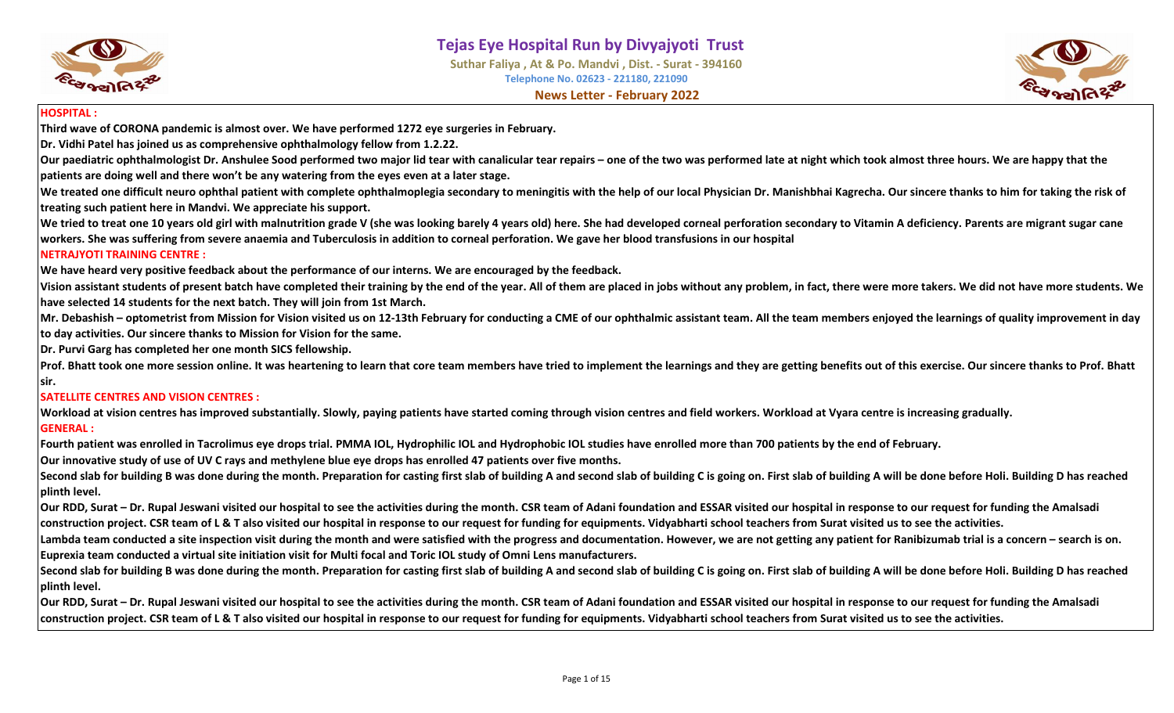

**Suthar Faliya , At & Po. Mandvi , Dist. - Surat - 394160 Telephone No. 02623 - 221180, 221090 News Letter - February 2022**



#### **HOSPITAL :**

**Third wave of CORONA pandemic is almost over. We have performed 1272 eye surgeries in February.**

**Dr. Vidhi Patel has joined us as comprehensive ophthalmology fellow from 1.2.22.**

Our paediatric ophthalmologist Dr. Anshulee Sood performed two major lid tear with canalicular tear repairs – one of the two was performed late at night which took almost three hours. We are happy that the **patients are doing well and there won't be any watering from the eyes even at a later stage.**

We treated one difficult neuro ophthal patient with complete ophthalmoplegia secondary to meningitis with the help of our local Physician Dr. Manishbhai Kagrecha. Our sincere thanks to him for taking the risk of **treating such patient here in Mandvi. We appreciate his support.**

We tried to treat one 10 years old girl with malnutrition grade V (she was looking barely 4 years old) here. She had developed corneal perforation secondary to Vitamin A deficiency. Parents are migrant sugar cane **workers. She was suffering from severe anaemia and Tuberculosis in addition to corneal perforation. We gave her blood transfusions in our hospital**

#### **NETRAJYOTI TRAINING CENTRE :**

**We have heard very positive feedback about the performance of our interns. We are encouraged by the feedback.**

**Vision assistant students of present batch have completed their training by the end of the year. All of them are placed in jobs without any problem, in fact, there were more takers. We did not have more students. We have selected 14 students for the next batch. They will join from 1st March.**

**Mr. Debashish – optometrist from Mission for Vision visited us on 12-13th February for conducting a CME of our ophthalmic assistant team. All the team members enjoyed the learnings of quality improvement in day to day activities. Our sincere thanks to Mission for Vision for the same.**

**Dr. Purvi Garg has completed her one month SICS fellowship.**

Prof. Bhatt took one more session online. It was heartening to learn that core team members have tried to implement the learnings and they are getting benefits out of this exercise. Our sincere thanks to Prof. Bhatt **sir.**

#### **SATELLITE CENTRES AND VISION CENTRES :**

**Workload at vision centres has improved substantially. Slowly, paying patients have started coming through vision centres and field workers. Workload at Vyara centre is increasing gradually. GENERAL :**

**Fourth patient was enrolled in Tacrolimus eye drops trial. PMMA IOL, Hydrophilic IOL and Hydrophobic IOL studies have enrolled more than 700 patients by the end of February.**

**Our innovative study of use of UV C rays and methylene blue eye drops has enrolled 47 patients over five months.**

Second slab for building B was done during the month. Preparation for casting first slab of building A and second slab of building C is going on. First slab of building A will be done before Holi. Building D has reached **plinth level.** 

**Our RDD, Surat – Dr. Rupal Jeswani visited our hospital to see the activities during the month. CSR team of Adani foundation and ESSAR visited our hospital in response to our request for funding the Amalsadi construction project. CSR team of L & T also visited our hospital in response to our request for funding for equipments. Vidyabharti school teachers from Surat visited us to see the activities.**

Lambda team conducted a site inspection visit during the month and were satisfied with the progress and documentation. However, we are not getting any patient for Ranibizumab trial is a concern – search is on. **Euprexia team conducted a virtual site initiation visit for Multi focal and Toric IOL study of Omni Lens manufacturers.**

Second slab for building B was done during the month. Preparation for casting first slab of building A and second slab of building C is going on. First slab of building A will be done before Holi. Building D has reached **plinth level.** 

**Our RDD, Surat – Dr. Rupal Jeswani visited our hospital to see the activities during the month. CSR team of Adani foundation and ESSAR visited our hospital in response to our request for funding the Amalsadi construction project. CSR team of L & T also visited our hospital in response to our request for funding for equipments. Vidyabharti school teachers from Surat visited us to see the activities.**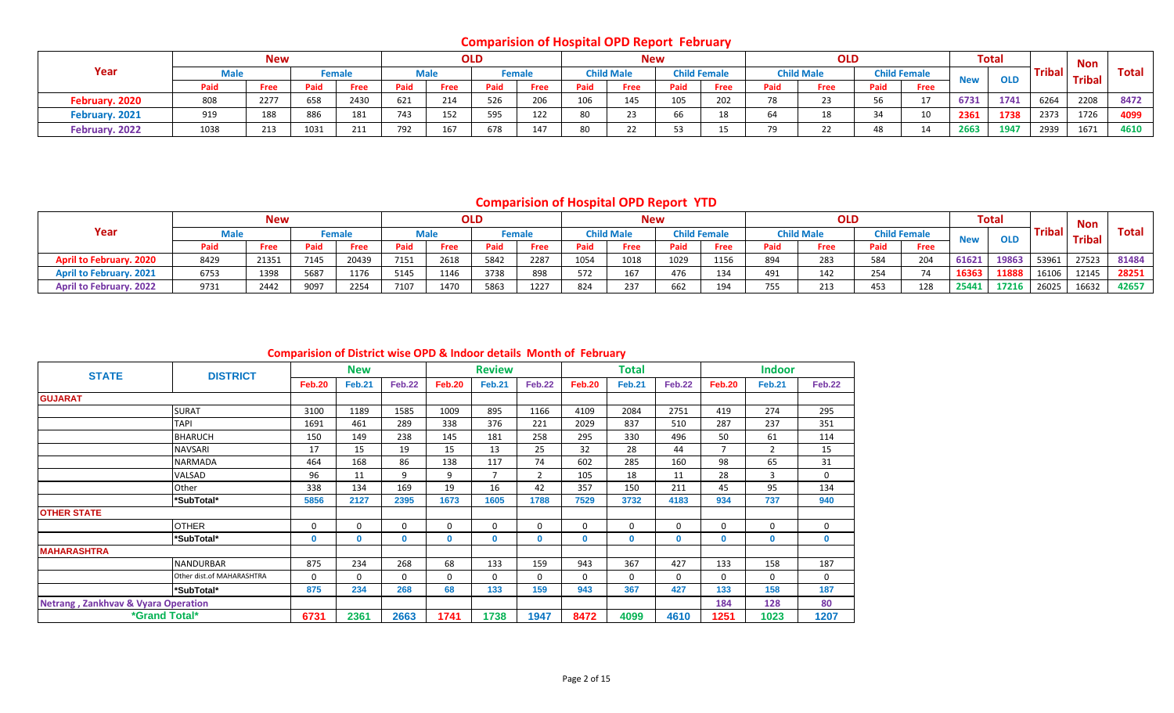# **Comparision of Hospital OPD Report February**

|                |             | <b>New</b> |      |        |      |      | <b>OLD</b> |               |      | <b>New</b>        |      |                     |      | <b>OLD</b>        |      |                     |            | <b>Total</b> |      | Non                   |              |
|----------------|-------------|------------|------|--------|------|------|------------|---------------|------|-------------------|------|---------------------|------|-------------------|------|---------------------|------------|--------------|------|-----------------------|--------------|
| Year           | <b>Male</b> |            |      | Female |      | Male |            | <b>Female</b> |      | <b>Child Male</b> |      | <b>Child Female</b> |      | <b>Child Male</b> |      | <b>Child Female</b> | <b>New</b> |              |      | <b>Taribal</b> Tribal | <b>Total</b> |
|                | Paid        | Free       | Paid | Free   | Paid | Free | Paid       | Free          | Paid | Free              | Paid | <b>Free</b>         | Paid | Free              | Paid | <b>Free</b>         |            |              |      |                       |              |
| February. 2020 | 808         | 2277       | 658  | 2430   | 621  | 214  | 526        | 206           | 106  | 145               | 105  | 202                 | 78   |                   |      | 17                  | 6731       | 1741         | 6264 | 2208                  | 8472         |
| February. 2021 | 919         | 188        | 886  | 181    | 743  | 152  | 595        | 122           | 80   |                   | 66   | 18                  |      | 18                | 34   | 10                  | 2361       | 1738         | 2373 | 1726                  | 4099         |
| February. 2022 | 1038        | 213        | 1031 | 211    | 792  | 167  | 678        | 147           |      |                   |      | 1 E                 |      |                   | 48   | 14                  | 2663       | 1947         | 2939 | 1671                  | 4610         |

# **Comparision of Hospital OPD Report YTD**

|                                |      | <b>New</b> |      |               |      |      | <b>OLD</b> |               |      | <b>New</b>        |      |                     |                         | <b>OLD</b>        |      |                     |            | Total      |               | Non           |       |
|--------------------------------|------|------------|------|---------------|------|------|------------|---------------|------|-------------------|------|---------------------|-------------------------|-------------------|------|---------------------|------------|------------|---------------|---------------|-------|
| Year                           | Male |            |      | <b>Female</b> |      | Male |            | <b>Female</b> |      | <b>Child Male</b> |      | <b>Child Female</b> |                         | <b>Child Male</b> |      | <b>Child Female</b> | <b>New</b> | <b>OLD</b> | <b>Tribal</b> | <b>Tribal</b> | Total |
|                                | Paid | Free       | Paid | Free          | Paid | Free | Paid       | Free          | Paid | Free              | Paid | <b>Free</b>         | Paid                    | Free              | Paid | Free                |            |            |               |               |       |
| <b>April to February. 2020</b> | 8429 | 21351      | 7145 | 20439         | 7151 | 2618 | 5842       | 2287          | 1054 | 1018              | 1029 | 1156                | 894                     | 283               | 584  | 204                 | 61621      | 19863      | 53961         | 27523         | 81484 |
| <b>April to February. 2021</b> | 6753 | 1398       | 5687 | 1176          | 5145 | 1146 | 3738       | 898           | 572  |                   | 476  | 134                 | 491                     | 142               | 254  | 74                  | 16363      | 11888      | 16106         | 12145         | 28251 |
| <b>April to February. 2022</b> | 9731 | 2442       | 9097 | 2254          | 7107 | 1470 | 5863       | 1227          | 824  | 237               | 662  | 194                 | 7.5 <sub>5</sub><br>755 | 213               | 453  | 128                 | 25441      | 17216      | 26025         | 16632         | 42657 |

#### **Comparision of District wise OPD & Indoor details Month of February**

| <b>STATE</b>                        | <b>DISTRICT</b>           |               | <b>New</b>    |               |               | <b>Review</b>  |                |               | <b>Total</b>  |               |                | <b>Indoor</b>  |               |
|-------------------------------------|---------------------------|---------------|---------------|---------------|---------------|----------------|----------------|---------------|---------------|---------------|----------------|----------------|---------------|
|                                     |                           | <b>Feb.20</b> | <b>Feb.21</b> | <b>Feb.22</b> | <b>Feb.20</b> | <b>Feb.21</b>  | <b>Feb.22</b>  | <b>Feb.20</b> | <b>Feb.21</b> | <b>Feb.22</b> | Feb.20         | <b>Feb.21</b>  | <b>Feb.22</b> |
| <b>GUJARAT</b>                      |                           |               |               |               |               |                |                |               |               |               |                |                |               |
|                                     | <b>SURAT</b>              | 3100          | 1189          | 1585          | 1009          | 895            | 1166           | 4109          | 2084          | 2751          | 419            | 274            | 295           |
|                                     | <b>TAPI</b>               | 1691          | 461           | 289           | 338           | 376            | 221            | 2029          | 837           | 510           | 287            | 237            | 351           |
|                                     | <b>BHARUCH</b>            | 150           | 149           | 238           | 145           | 181            | 258            | 295           | 330           | 496           | 50             | 61             | 114           |
|                                     | <b>NAVSARI</b>            | 17            | 15            | 19            | 15            | 13             | 25             | 32            | 28            | 44            | $\overline{7}$ | $\overline{2}$ | 15            |
|                                     | <b>NARMADA</b>            | 464           | 168           | 86            | 138           | 117            | 74             | 602           | 285           | 160           | 98             | 65             | 31            |
|                                     | VALSAD                    | 96            | 11            | 9             | 9             | $\overline{7}$ | $\overline{2}$ | 105           | 18            | 11            | 28             | 3              | 0             |
|                                     | Other                     | 338           | 134           | 169           | 19            | 16             | 42             | 357           | 150           | 211           | 45             | 95             | 134           |
|                                     | *SubTotal*                | 5856          | 2127          | 2395          | 1673          | 1605           | 1788           | 7529          | 3732          | 4183          | 934            | 737            | 940           |
| <b>OTHER STATE</b>                  |                           |               |               |               |               |                |                |               |               |               |                |                |               |
|                                     | <b>OTHER</b>              | 0             | $\Omega$      | 0             | 0             | 0              | $\mathbf 0$    | $\mathbf 0$   | 0             | $\Omega$      | $\mathbf{0}$   | 0              | 0             |
|                                     | *SubTotal*                | $\mathbf{0}$  | $\mathbf{0}$  | $\mathbf 0$   | 0             | 0              | $\mathbf 0$    | 0             | 0             | $\mathbf{0}$  | 0              | $\mathbf 0$    | $\mathbf 0$   |
| <b>MAHARASHTRA</b>                  |                           |               |               |               |               |                |                |               |               |               |                |                |               |
|                                     | <b>NANDURBAR</b>          | 875           | 234           | 268           | 68            | 133            | 159            | 943           | 367           | 427           | 133            | 158            | 187           |
|                                     | Other dist.of MAHARASHTRA | $\mathbf 0$   | $\Omega$      | 0             | $\mathbf 0$   | $\mathbf 0$    | $\mathbf{0}$   | $\Omega$      | $\Omega$      | $\Omega$      | $\mathbf{0}$   | 0              | 0             |
|                                     | *SubTotal*                | 875           | 234           | 268           | 68            | 133            | 159            | 943           | 367           | 427           | 133            | 158            | 187           |
| Netrang, Zankhvav & Vyara Operation |                           |               |               |               |               |                |                |               |               |               | 184            | 128            | 80            |
|                                     | *Grand Total*             | 6731          | 2361          | 2663          | 1741          | 1738           | 1947           | 8472          | 4099          | 4610          | 1251           | 1023           | 1207          |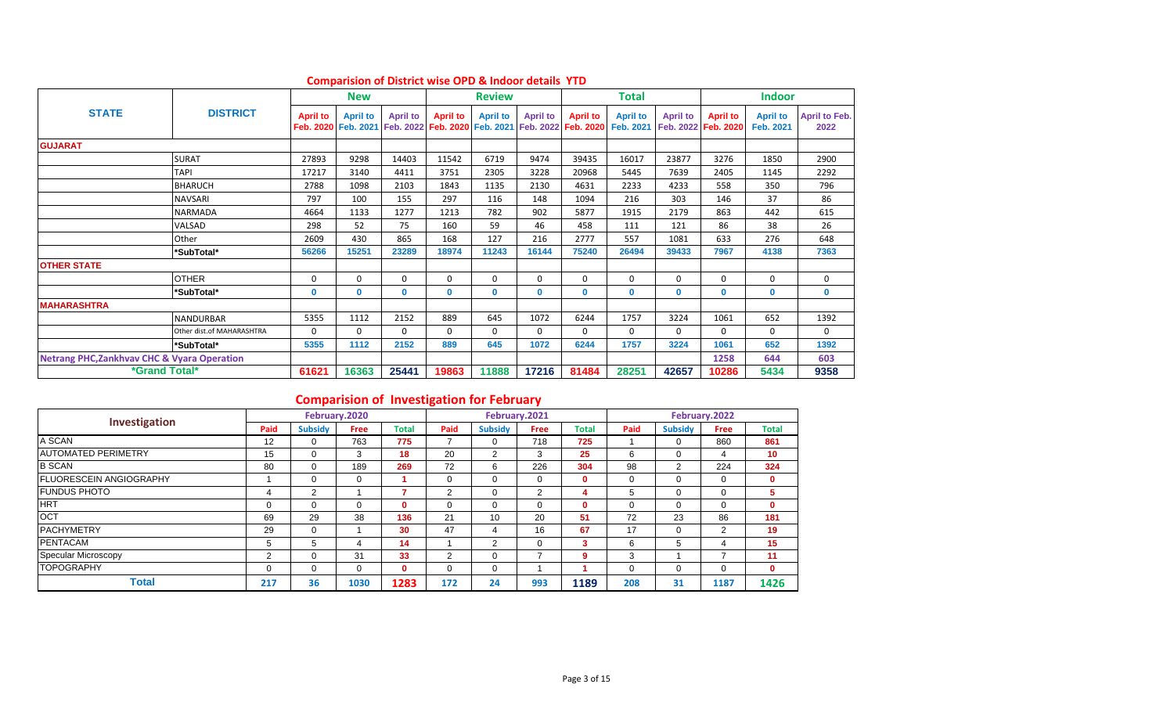|                                                        |                           |                 | <b>New</b>      |                 |                 | <b>Review</b>   |                 |                                                                                                    | Total           |                 |                                        | <b>Indoor</b>                |                              |
|--------------------------------------------------------|---------------------------|-----------------|-----------------|-----------------|-----------------|-----------------|-----------------|----------------------------------------------------------------------------------------------------|-----------------|-----------------|----------------------------------------|------------------------------|------------------------------|
| <b>STATE</b>                                           | <b>DISTRICT</b>           | <b>April to</b> | <b>April to</b> | <b>April to</b> | <b>April to</b> | <b>April to</b> | <b>April to</b> | <b>April to</b><br>Feb. 2020 Feb. 2021 Feb. 2022 Feb. 2020 Feb. 2021 Feb. 2022 Feb. 2020 Feb. 2021 | <b>April to</b> | <b>April to</b> | <b>April to</b><br>Feb. 2022 Feb. 2020 | <b>April to</b><br>Feb. 2021 | <b>April to Feb.</b><br>2022 |
| <b>GUJARAT</b>                                         |                           |                 |                 |                 |                 |                 |                 |                                                                                                    |                 |                 |                                        |                              |                              |
|                                                        | <b>SURAT</b>              | 27893           | 9298            | 14403           | 11542           | 6719            | 9474            | 39435                                                                                              | 16017           | 23877           | 3276                                   | 1850                         | 2900                         |
|                                                        | <b>TAPI</b>               | 17217           | 3140            | 4411            | 3751            | 2305            | 3228            | 20968                                                                                              | 5445            | 7639            | 2405                                   | 1145                         | 2292                         |
|                                                        | <b>BHARUCH</b>            | 2788            | 1098            | 2103            | 1843            | 1135            | 2130            | 4631                                                                                               | 2233            | 4233            | 558                                    | 350                          | 796                          |
|                                                        | <b>NAVSARI</b>            | 797             | 100             | 155             | 297             | 116             | 148             | 1094                                                                                               | 216             | 303             | 146                                    | 37                           | 86                           |
|                                                        | <b>NARMADA</b>            | 4664            | 1133            | 1277            | 1213            | 782             | 902             | 5877                                                                                               | 1915            | 2179            | 863                                    | 442                          | 615                          |
|                                                        | VALSAD                    | 298             | 52              | 75              | 160             | 59              | 46              | 458                                                                                                | 111             | 121             | 86                                     | 38                           | 26                           |
|                                                        | Other                     | 2609            | 430             | 865             | 168             | 127             | 216             | 2777                                                                                               | 557             | 1081            | 633                                    | 276                          | 648                          |
|                                                        | *SubTotal*                | 56266           | 15251           | 23289           | 18974           | 11243           | 16144           | 75240                                                                                              | 26494           | 39433           | 7967                                   | 4138                         | 7363                         |
| <b>OTHER STATE</b>                                     |                           |                 |                 |                 |                 |                 |                 |                                                                                                    |                 |                 |                                        |                              |                              |
|                                                        | <b>OTHER</b>              | $\mathbf 0$     | $\Omega$        | $\Omega$        | 0               | $\Omega$        | 0               | $\mathbf 0$                                                                                        | $\mathbf 0$     | $\Omega$        | $\Omega$                               | $\mathbf 0$                  | 0                            |
|                                                        | *SubTotal*                | $\mathbf 0$     | $\mathbf 0$     | $\mathbf{0}$    | $\mathbf{0}$    | $\mathbf{0}$    | 0               | 0                                                                                                  | $\mathbf 0$     | $\mathbf{0}$    | $\mathbf{0}$                           | $\mathbf 0$                  | $\mathbf{0}$                 |
| <b>MAHARASHTRA</b>                                     |                           |                 |                 |                 |                 |                 |                 |                                                                                                    |                 |                 |                                        |                              |                              |
|                                                        | <b>NANDURBAR</b>          | 5355            | 1112            | 2152            | 889             | 645             | 1072            | 6244                                                                                               | 1757            | 3224            | 1061                                   | 652                          | 1392                         |
|                                                        | Other dist.of MAHARASHTRA | $\Omega$        | $\Omega$        | $\Omega$        | $\Omega$        | $\Omega$        | 0               | $\Omega$                                                                                           | $\mathbf 0$     | $\Omega$        | $\Omega$                               | $\Omega$                     | 0                            |
|                                                        | *SubTotal*                | 5355            | 1112            | 2152            | 889             | 645             | 1072            | 6244                                                                                               | 1757            | 3224            | 1061                                   | 652                          | 1392                         |
| <b>Netrang PHC, Zankhvav CHC &amp; Vyara Operation</b> |                           |                 |                 |                 |                 |                 |                 |                                                                                                    |                 |                 | 1258                                   | 644                          | 603                          |
| *Grand Total*                                          |                           | 61621           | 16363           | 25441           | 19863           | 11888           | 17216           | 81484                                                                                              | 28251           | 42657           | 10286                                  | 5434                         | 9358                         |

#### **Comparision of District wise OPD & Indoor details YTD**

# **Comparision of Investigation for February**

| Investigation                   |             |                | February.2020 |              |          |                | February.2021 |              |          |                | February.2022  |              |
|---------------------------------|-------------|----------------|---------------|--------------|----------|----------------|---------------|--------------|----------|----------------|----------------|--------------|
|                                 | Paid        | <b>Subsidy</b> | <b>Free</b>   | <b>Total</b> | Paid     | <b>Subsidy</b> | <b>Free</b>   | <b>Total</b> | Paid     | <b>Subsidy</b> | <b>Free</b>    | <b>Total</b> |
| A SCAN                          | 12          | 0              | 763           | 775          | ⇁        | 0              | 718           | 725          |          |                | 860            | 861          |
| <b>AUTOMATED PERIMETRY</b>      | 15          | 0              | 3             | 18           | 20       | 2              | 3             | 25           | 6        |                | 4              | 10           |
| <b>B SCAN</b>                   | 80          | 0              | 189           | 269          | 72       | 6              | 226           | 304          | 98       | 2              | 224            | 324          |
| <b>IFLUORESCEIN ANGIOGRAPHY</b> |             | 0              | $\Omega$      |              | $\Omega$ | 0              | 0             | 0            | 0        | 0              | $\Omega$       | $\mathbf{0}$ |
| <b>FUNDUS PHOTO</b>             |             | 2              |               |              | 2        | 0              | 2             |              | 5        |                | 0              | 5            |
| <b>HRT</b>                      |             | 0              | $\Omega$      | Ω            | $\Omega$ | 0              | 0             | 0            | $\Omega$ |                | $\Omega$       | $\mathbf{0}$ |
| <b>OCT</b>                      | 69          | 29             | 38            | 136          | 21       | 10             | 20            | 51           | 72       | 23             | 86             | 181          |
| <b>PACHYMETRY</b>               | 29          | 0              |               | 30           | 47       |                | 16            | 67           | 17       | 0              | $\overline{2}$ | 19           |
| <b>PENTACAM</b>                 | $\mathbf b$ | 5              | 4             | 14           |          | 2              | $\Omega$      | 3            | 6        | 5              | 4              | 15           |
| Specular Microscopy             |             | 0              | 31            | 33           | 2        | 0              |               | 9            | 3        |                |                | 11           |
| <b>TOPOGRAPHY</b>               |             | 0              | $\Omega$      | $\mathbf{0}$ | $\Omega$ | 0              |               |              | $\Omega$ |                | $\Omega$       | $\mathbf{0}$ |
| <b>Total</b>                    | 217         | 36             | 1030          | 1283         | 172      | 24             | 993           | 1189         | 208      | 31             | 1187           | 1426         |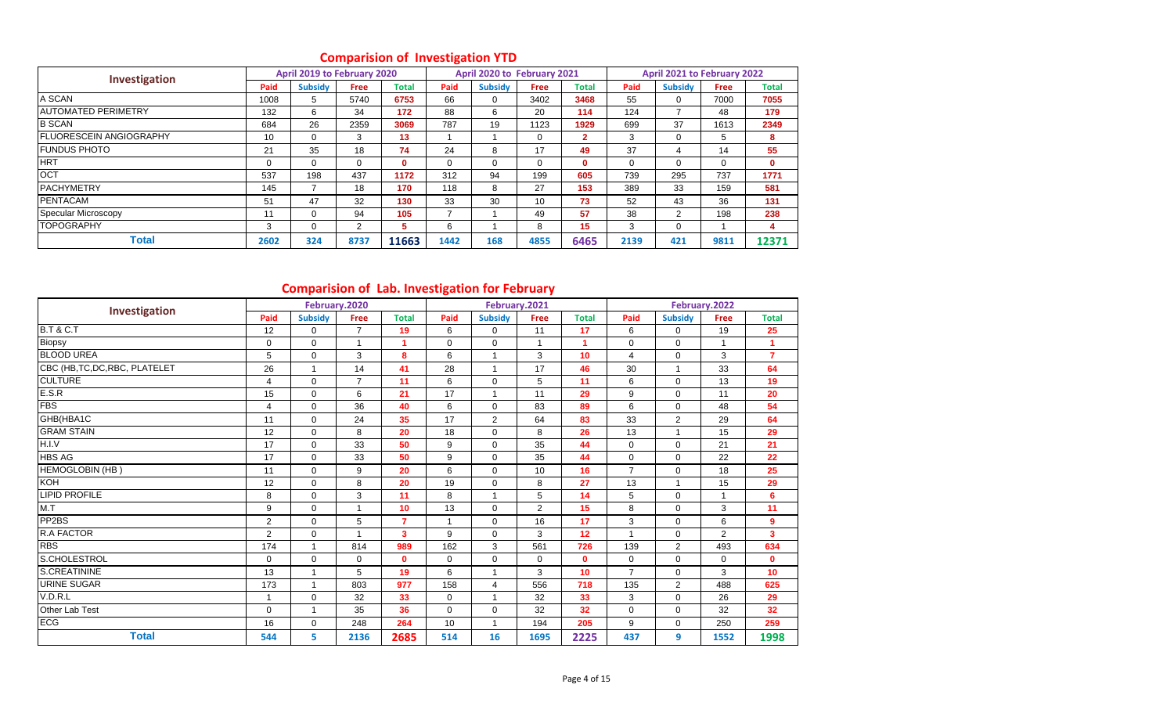| Investigation                   |                | April 2019 to February 2020 |                |              |          | April 2020 to February 2021 |             |              |          | April 2021 to February 2022 |             |              |
|---------------------------------|----------------|-----------------------------|----------------|--------------|----------|-----------------------------|-------------|--------------|----------|-----------------------------|-------------|--------------|
|                                 | Paid           | <b>Subsidy</b>              | <b>Free</b>    | Total        | Paid     | <b>Subsidy</b>              | <b>Free</b> | <b>Total</b> | Paid     | <b>Subsidy</b>              | <b>Free</b> | <b>Total</b> |
| A SCAN                          | 1008           | 5                           | 5740           | 6753         | 66       | 0                           | 3402        | 3468         | 55       | 0                           | 7000        | 7055         |
| <b>JAUTOMATED PERIMETRY</b>     | 132            | 6                           | 34             | 172          | 88       | 6                           | 20          | 114          | 124      |                             | 48          | 179          |
| <b>B SCAN</b>                   | 684            | 26                          | 2359           | 3069         | 787      | 19                          | 1123        | 1929         | 699      | 37                          | 1613        | 2349         |
| <b>IFLUORESCEIN ANGIOGRAPHY</b> | 10             | $\Omega$                    | 3              | 13           |          |                             | 0           | $\mathbf{2}$ | 3        | 0                           | 5           | 8            |
| <b>IFUNDUS PHOTO</b>            | 21             | 35                          | 18             | 74           | 24       | 8                           | 17          | 49           | 37       | 4                           | 14          | 55           |
| <b>HRT</b>                      | $\overline{0}$ | $\Omega$                    | $\Omega$       | $\mathbf{0}$ | $\Omega$ | 0                           | 0           | $\mathbf{0}$ | $\Omega$ | 0                           | $\Omega$    | 0            |
| <b>OCT</b>                      | 537            | 198                         | 437            | 1172         | 312      | 94                          | 199         | 605          | 739      | 295                         | 737         | 1771         |
| <b>PACHYMETRY</b>               | 145            |                             | 18             | 170          | 118      | 8                           | 27          | 153          | 389      | 33                          | 159         | 581          |
| <b>PENTACAM</b>                 | 51             | 47                          | 32             | 130          | 33       | 30                          | 10          | 73           | 52       | 43                          | 36          | 131          |
| Specular Microscopy             | 11             | $\Omega$                    | 94             | 105          |          |                             | 49          | 57           | 38       | 2                           | 198         | 238          |
| <b>TOPOGRAPHY</b>               | 3              | $\Omega$                    | $\overline{2}$ | 5            | 6        |                             | 8           | 15           | 3        | 0                           |             | 4            |
| <b>Total</b>                    | 2602           | 324                         | 8737           | 11663        | 1442     | 168                         | 4855        | 6465         | 2139     | 421                         | 9811        | 12371        |

# **Comparision of Investigation YTD**

# **Comparision of Lab. Investigation for February**

| Investigation                  |                | February.2020  |                |                |                |                | February.2021  |              |                |                | February.2022 |                |
|--------------------------------|----------------|----------------|----------------|----------------|----------------|----------------|----------------|--------------|----------------|----------------|---------------|----------------|
|                                | Paid           | <b>Subsidy</b> | <b>Free</b>    | <b>Total</b>   | Paid           | <b>Subsidy</b> | Free           | <b>Total</b> | Paid           | <b>Subsidy</b> | Free          | <b>Total</b>   |
| <b>B.T &amp; C.T</b>           | 12             | $\mathbf 0$    | $\overline{7}$ | 19             | 6              | 0              | 11             | 17           | 6              | $\mathbf 0$    | 19            | 25             |
| Biopsy                         | 0              | $\Omega$       | $\overline{1}$ | 1              | 0              | $\Omega$       | $\mathbf{1}$   | 1            | 0              | $\Omega$       | $\mathbf{1}$  | $\mathbf{1}$   |
| <b>BLOOD UREA</b>              | 5              | $\mathbf 0$    | 3              | 8              | 6              | 1              | 3              | 10           | 4              | $\mathbf 0$    | 3             | $\overline{7}$ |
| CBC (HB, TC, DC, RBC, PLATELET | 26             | $\overline{ }$ | 14             | 41             | 28             |                | 17             | 46           | 30             |                | 33            | 64             |
| <b>CULTURE</b>                 | 4              | $\mathbf 0$    | $\overline{7}$ | 11             | 6              | $\mathbf 0$    | 5              | 11           | 6              | $\Omega$       | 13            | 19             |
| E.S.R                          | 15             | $\mathbf 0$    | 6              | 21             | 17             | $\overline{ }$ | 11             | 29           | 9              | $\Omega$       | 11            | 20             |
| <b>FBS</b>                     | 4              | 0              | 36             | 40             | 6              | 0              | 83             | 89           | 6              | $\Omega$       | 48            | 54             |
| GHB(HBA1C                      | 11             | $\mathbf 0$    | 24             | 35             | 17             | $\overline{2}$ | 64             | 83           | 33             | $\overline{2}$ | 29            | 64             |
| <b>GRAM STAIN</b>              | 12             | $\Omega$       | 8              | 20             | 18             | 0              | 8              | 26           | 13             |                | 15            | 29             |
| H.I.V                          | 17             | $\Omega$       | 33             | 50             | 9              | $\Omega$       | 35             | 44           | 0              | $\Omega$       | 21            | 21             |
| <b>HBS AG</b>                  | 17             | $\mathbf 0$    | 33             | 50             | 9              | $\mathbf 0$    | 35             | 44           | 0              | $\mathbf 0$    | 22            | 22             |
| <b>HEMOGLOBIN (HB)</b>         | 11             | $\Omega$       | 9              | 20             | 6              | $\Omega$       | 10             | 16           | $\overline{7}$ | $\Omega$       | 18            | 25             |
| KOH                            | 12             | $\mathbf 0$    | 8              | 20             | 19             | $\mathbf 0$    | 8              | 27           | 13             |                | 15            | 29             |
| <b>LIPID PROFILE</b>           | 8              | $\Omega$       | 3              | 11             | 8              | $\overline{ }$ | 5              | 14           | 5              | $\Omega$       | 1             | 6              |
| M.T                            | 9              | $\mathbf 0$    |                | 10             | 13             | $\mathbf 0$    | $\overline{2}$ | 15           | 8              | $\Omega$       | 3             | 11             |
| PP <sub>2</sub> BS             | $\overline{2}$ | $\mathbf 0$    | 5              | $\overline{7}$ | $\overline{1}$ | $\mathbf 0$    | 16             | 17           | 3              | $\mathbf 0$    | 6             | 9              |
| R.A FACTOR                     | $\overline{2}$ | $\Omega$       | $\overline{ }$ | 3              | 9              | $\Omega$       | 3              | 12           | $\mathbf{1}$   | $\Omega$       | 2             | 3              |
| <b>RBS</b>                     | 174            | $\mathbf{1}$   | 814            | 989            | 162            | 3              | 561            | 726          | 139            | $\overline{2}$ | 493           | 634            |
| S.CHOLESTROL                   | 0              | $\mathbf 0$    | $\mathbf 0$    | $\mathbf 0$    | 0              | 0              | 0              | $\mathbf{0}$ | 0              | $\Omega$       | $\mathbf 0$   | $\mathbf{0}$   |
| <b>S.CREATININE</b>            | 13             | $\overline{1}$ | 5              | 19             | 6              |                | 3              | 10           | $\overline{7}$ | $\mathbf 0$    | 3             | 10             |
| <b>URINE SUGAR</b>             | 173            | $\overline{1}$ | 803            | 977            | 158            | 4              | 556            | 718          | 135            | $\overline{2}$ | 488           | 625            |
| V.D.R.L                        | -1             | $\mathbf 0$    | 32             | 33             | $\mathbf 0$    |                | 32             | 33           | 3              | $\mathbf 0$    | 26            | 29             |
| Other Lab Test                 | $\Omega$       | $\overline{ }$ | 35             | 36             | $\mathbf 0$    | $\Omega$       | 32             | 32           | 0              | $\Omega$       | 32            | 32             |
| ECG                            | 16             | $\mathbf 0$    | 248            | 264            | 10             |                | 194            | 205          | 9              | $\mathbf 0$    | 250           | 259            |
| <b>Total</b>                   | 544            | 5              | 2136           | 2685           | 514            | 16             | 1695           | 2225         | 437            | 9              | 1552          | 1998           |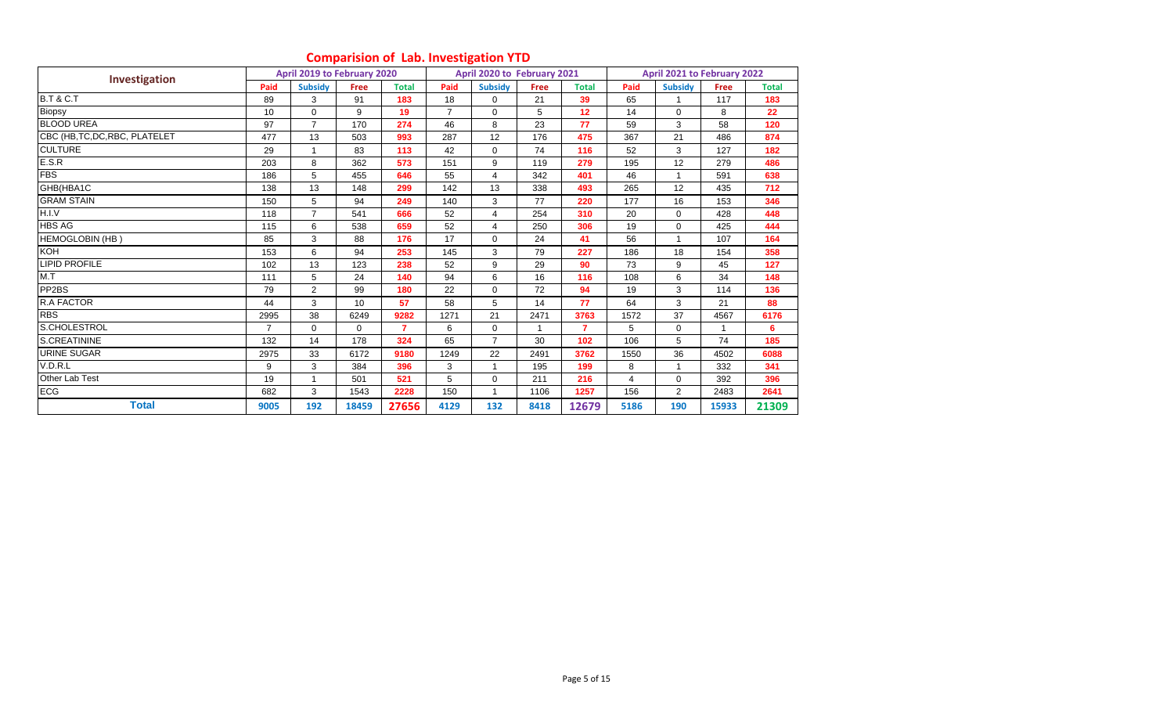|                                |      | April 2019 to February 2020 |             |              |                | April 2020 to February 2021 |             |                |                | April 2021 to February 2022 |             |              |
|--------------------------------|------|-----------------------------|-------------|--------------|----------------|-----------------------------|-------------|----------------|----------------|-----------------------------|-------------|--------------|
| Investigation                  | Paid | <b>Subsidy</b>              | <b>Free</b> | <b>Total</b> | Paid           | <b>Subsidy</b>              | <b>Free</b> | <b>Total</b>   | Paid           | <b>Subsidy</b>              | <b>Free</b> | <b>Total</b> |
| <b>B.T &amp; C.T</b>           | 89   | 3                           | 91          | 183          | 18             | $\Omega$                    | 21          | 39             | 65             |                             | 117         | 183          |
| Biopsy                         | 10   | $\Omega$                    | 9           | 19           | $\overline{7}$ | $\Omega$                    | 5           | 12             | 14             | $\Omega$                    | 8           | 22           |
| <b>BLOOD UREA</b>              | 97   | $\overline{7}$              | 170         | 274          | 46             | 8                           | 23          | 77             | 59             | 3                           | 58          | 120          |
| CBC (HB, TC, DC, RBC, PLATELET | 477  | 13                          | 503         | 993          | 287            | 12                          | 176         | 475            | 367            | 21                          | 486         | 874          |
| <b>CULTURE</b>                 | 29   | $\mathbf{1}$                | 83          | 113          | 42             | $\Omega$                    | 74          | 116            | 52             | 3                           | 127         | 182          |
| E.S.R                          | 203  | 8                           | 362         | 573          | 151            | 9                           | 119         | 279            | 195            | 12                          | 279         | 486          |
| <b>FBS</b>                     | 186  | 5                           | 455         | 646          | 55             | 4                           | 342         | 401            | 46             |                             | 591         | 638          |
| GHB(HBA1C                      | 138  | 13                          | 148         | 299          | 142            | 13                          | 338         | 493            | 265            | 12                          | 435         | 712          |
| <b>GRAM STAIN</b>              | 150  | 5                           | 94          | 249          | 140            | 3                           | 77          | 220            | 177            | 16                          | 153         | 346          |
| H.I.V                          | 118  | $\overline{7}$              | 541         | 666          | 52             | $\overline{4}$              | 254         | 310            | 20             | $\mathbf 0$                 | 428         | 448          |
| <b>HBS AG</b>                  | 115  | 6                           | 538         | 659          | 52             | $\overline{4}$              | 250         | 306            | 19             | $\Omega$                    | 425         | 444          |
| <b>HEMOGLOBIN (HB)</b>         | 85   | 3                           | 88          | 176          | 17             | $\Omega$                    | 24          | 41             | 56             |                             | 107         | 164          |
| KOH                            | 153  | 6                           | 94          | 253          | 145            | 3                           | 79          | 227            | 186            | 18                          | 154         | 358          |
| <b>LIPID PROFILE</b>           | 102  | 13                          | 123         | 238          | 52             | 9                           | 29          | 90             | 73             | 9                           | 45          | 127          |
| M.T                            | 111  | 5                           | 24          | 140          | 94             | 6                           | 16          | 116            | 108            | 6                           | 34          | 148          |
| PP <sub>2</sub> BS             | 79   | $\overline{2}$              | 99          | 180          | 22             | $\Omega$                    | 72          | 94             | 19             | 3                           | 114         | 136          |
| R.A FACTOR                     | 44   | 3                           | 10          | 57           | 58             | 5                           | 14          | 77             | 64             | 3                           | 21          | 88           |
| <b>RBS</b>                     | 2995 | 38                          | 6249        | 9282         | 1271           | 21                          | 2471        | 3763           | 1572           | 37                          | 4567        | 6176         |
| S.CHOLESTROL                   | 7    | $\mathbf 0$                 | $\Omega$    | 7            | 6              | $\Omega$                    |             | $\overline{7}$ | 5              | $\Omega$                    |             | 6            |
| <b>S.CREATININE</b>            | 132  | 14                          | 178         | 324          | 65             | $\overline{7}$              | 30          | 102            | 106            | 5                           | 74          | 185          |
| <b>URINE SUGAR</b>             | 2975 | 33                          | 6172        | 9180         | 1249           | 22                          | 2491        | 3762           | 1550           | 36                          | 4502        | 6088         |
| V.D.R.L                        | 9    | 3                           | 384         | 396          | 3              |                             | 195         | 199            | 8              |                             | 332         | 341          |
| Other Lab Test                 | 19   | $\mathbf{1}$                | 501         | 521          | 5              | $\mathbf 0$                 | 211         | 216            | $\overline{4}$ | $\mathbf 0$                 | 392         | 396          |
| <b>ECG</b>                     | 682  | 3                           | 1543        | 2228         | 150            |                             | 1106        | 1257           | 156            | $\overline{2}$              | 2483        | 2641         |
| <b>Total</b>                   | 9005 | 192                         | 18459       | 27656        | 4129           | 132                         | 8418        | 12679          | 5186           | 190                         | 15933       | 21309        |

## **Comparision of Lab. Investigation YTD**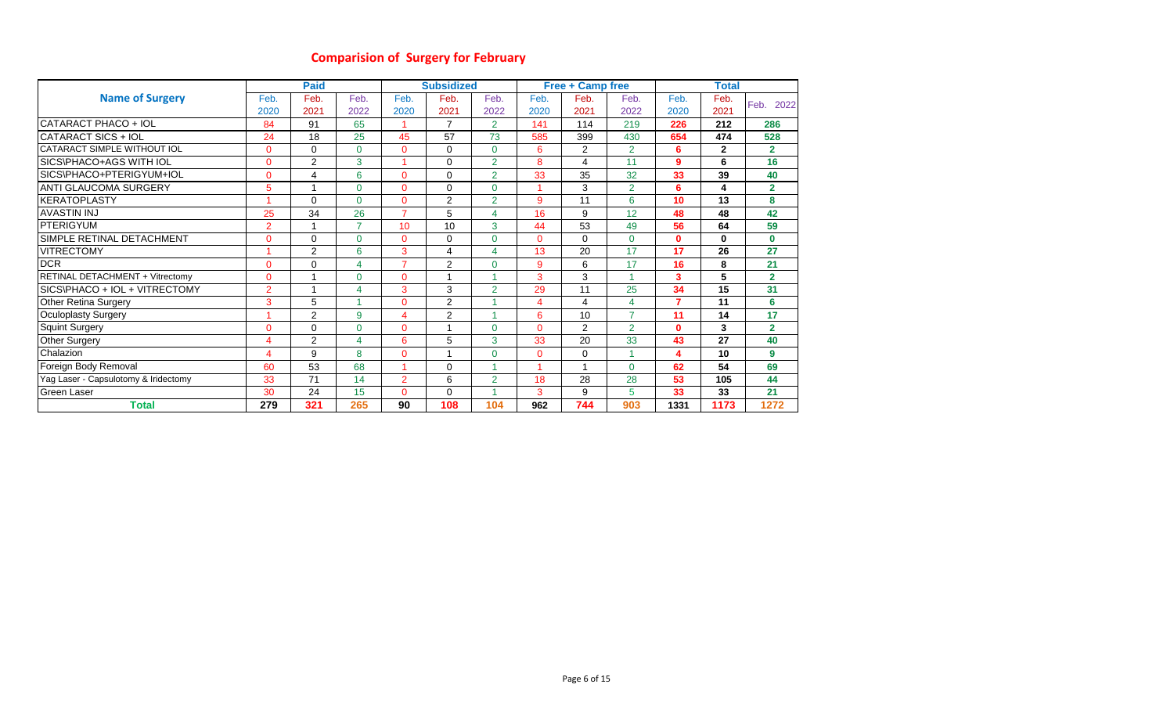# **Comparision of Surgery for February**

|                                      |                | <b>Paid</b>    |                |                | <b>Subsidized</b> |                |                         | <b>Free + Camp free</b> |                |              | <b>Total</b> |                |
|--------------------------------------|----------------|----------------|----------------|----------------|-------------------|----------------|-------------------------|-------------------------|----------------|--------------|--------------|----------------|
| <b>Name of Surgery</b>               | Feb.           | Feb.           | Feb.           | Feb.           | Feb.              | Feb.           | Feb.                    | Feb.                    | Feb.           | Feb.         | Feb.         | Feb.           |
|                                      | 2020           | 2021           | 2022           | 2020           | 2021              | 2022           | 2020                    | 2021                    | 2022           | 2020         | 2021         | 2022           |
| CATARACT PHACO + IOL                 | 84             | 91             | 65             |                | $\overline{7}$    | $\overline{2}$ | 141                     | 114                     | 219            | 226          | 212          | 286            |
| CATARACT SICS + IOL                  | 24             | 18             | 25             | 45             | 57                | 73             | 585                     | 399                     | 430            | 654          | 474          | 528            |
| CATARACT SIMPLE WITHOUT IOL          | $\mathbf{0}$   | 0              | $\Omega$       | $\mathbf{0}$   | 0                 | $\Omega$       | 6                       | 2                       | $\overline{2}$ | 6            | $\mathbf{2}$ | $\overline{2}$ |
| SICS\PHACO+AGS WITH IOL              | $\Omega$       | $\overline{2}$ | 3              |                | $\Omega$          | $\overline{2}$ | 8                       | 4                       | 11             | 9            | 6            | 16             |
| SICS\PHACO+PTERIGYUM+IOL             | $\Omega$       | 4              | 6              | $\mathbf{0}$   | 0                 | $\overline{2}$ | 33                      | 35                      | 32             | 33           | 39           | 40             |
| ANTI GLAUCOMA SURGERY                | 5              | 1              | $\Omega$       | $\mathbf{0}$   | 0                 | $\Omega$       | $\overline{\mathbf{A}}$ | 3                       | $\overline{2}$ | 6            | 4            | $\overline{2}$ |
| <b>IKERATOPLASTY</b>                 |                | $\Omega$       | $\Omega$       | $\mathbf{0}$   | $\overline{2}$    | $\overline{2}$ | 9                       | 11                      | 6              | 10           | 13           | 8              |
| <b>AVASTIN INJ</b>                   | 25             | 34             | 26             | $\overline{7}$ | 5                 | 4              | 16                      | 9                       | 12             | 48           | 48           | 42             |
| PTERIGYUM                            | $\overline{2}$ |                | $\overline{ }$ | 10             | 10                | 3              | 44                      | 53                      | 49             | 56           | 64           | 59             |
| SIMPLE RETINAL DETACHMENT            | $\Omega$       | $\Omega$       | $\Omega$       | $\overline{0}$ | 0                 | $\Omega$       | $\Omega$                | $\Omega$                | $\Omega$       | 0            | $\bf{0}$     | $\mathbf{0}$   |
| <b>VITRECTOMY</b>                    |                | 2              | 6              | 3              | $\overline{4}$    | 4              | 13                      | 20                      | 17             | 17           | 26           | 27             |
| <b>DCR</b>                           | $\Omega$       | $\Omega$       | 4              | $\overline{7}$ | $\overline{2}$    | $\Omega$       | 9                       | 6                       | 17             | 16           | 8            | 21             |
| RETINAL DETACHMENT + Vitrectomy      | $\Omega$       | 1              | $\Omega$       | $\mathbf{0}$   | 1                 |                | 3                       | 3                       | 4              | 3            | 5            | $\overline{2}$ |
| SICS\PHACO + IOL + VITRECTOMY        | $\overline{2}$ |                | 4              | 3              | 3                 | $\overline{2}$ | 29                      | 11                      | 25             | 34           | 15           | 31             |
| <b>Other Retina Surgery</b>          | 3              | 5              |                | $\Omega$       | $\overline{2}$    |                | 4                       | 4                       | 4              | 7            | 11           | 6              |
| <b>Oculoplasty Surgery</b>           |                | $\overline{2}$ | 9              | 4              | $\overline{2}$    |                | 6                       | 10                      | $\overline{7}$ | 11           | 14           | 17             |
| <b>Squint Surgery</b>                | $\Omega$       | $\Omega$       | $\Omega$       | $\mathbf{0}$   | 1                 | $\Omega$       | $\Omega$                | 2                       | $\overline{2}$ | $\mathbf{0}$ | 3            | $\overline{2}$ |
| <b>Other Surgery</b>                 | 4              | 2              | 4              | 6              | 5                 | 3              | 33                      | 20                      | 33             | 43           | 27           | 40             |
| Chalazion                            | 4              | 9              | 8              | $\mathbf{0}$   | 1                 | $\Omega$       | $\Omega$                | 0                       | 4              | 4            | 10           | 9              |
| Foreign Body Removal                 | 60             | 53             | 68             | $\overline{A}$ | $\Omega$          |                |                         | 1                       | $\Omega$       | 62           | 54           | 69             |
| Yag Laser - Capsulotomy & Iridectomy | 33             | 71             | 14             | $\overline{2}$ | 6                 | $\overline{2}$ | 18                      | 28                      | 28             | 53           | 105          | 44             |
| Green Laser                          | 30             | 24             | 15             | $\mathbf{0}$   | 0                 |                | 3                       | 9                       | 5              | 33           | 33           | 21             |
| <b>Total</b>                         | 279            | 321            | 265            | 90             | 108               | 104            | 962                     | 744                     | 903            | 1331         | 1173         | 1272           |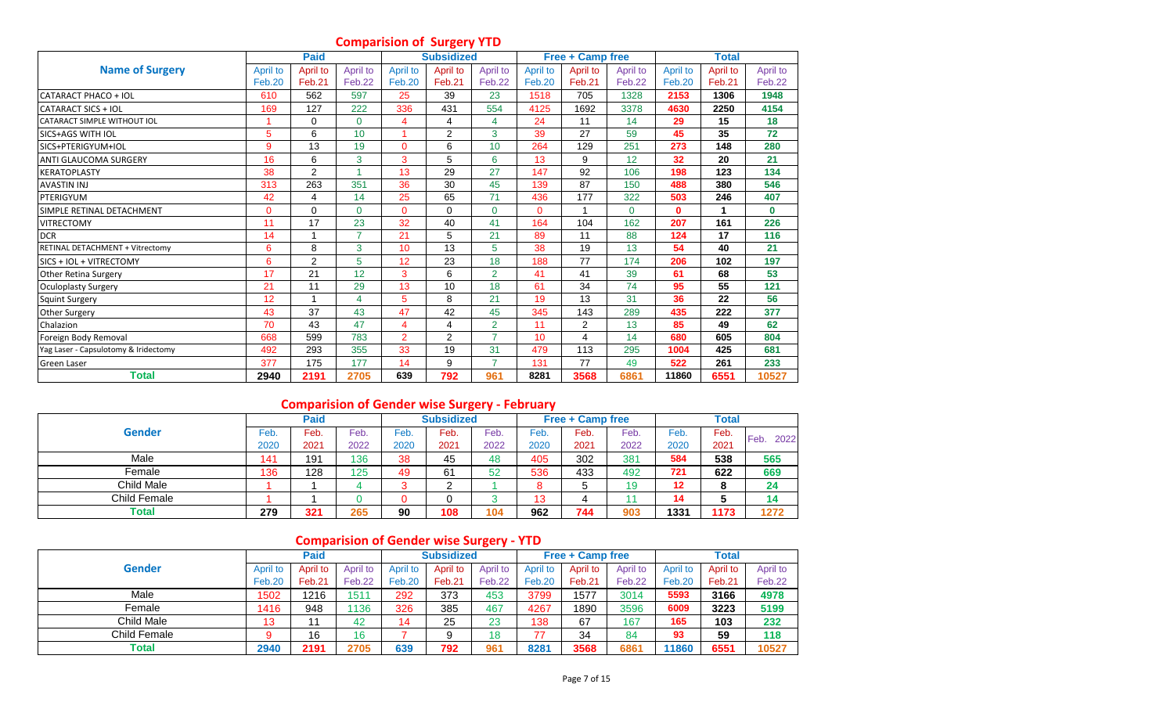# **Comparision of Surgery YTD**

|                                        |          | <b>Paid</b> |                |                | <b>Subsidized</b> |                |          | <b>Free + Camp free</b> |          |              | <b>Total</b> |          |
|----------------------------------------|----------|-------------|----------------|----------------|-------------------|----------------|----------|-------------------------|----------|--------------|--------------|----------|
| <b>Name of Surgery</b>                 | April to | April to    | April to       | April to       | April to          | April to       | April to | April to                | April to | April to     | April to     | April to |
|                                        | Feb.20   | Feb.21      | Feb.22         | Feb.20         | Feb.21            | Feb.22         | Feb.20   | Feb.21                  | Feb.22   | Feb.20       | Feb.21       | Feb.22   |
| <b>CATARACT PHACO + IOL</b>            | 610      | 562         | 597            | 25             | 39                | 23             | 1518     | 705                     | 1328     | 2153         | 1306         | 1948     |
| CATARACT SICS + IOL                    | 169      | 127         | 222            | 336            | 431               | 554            | 4125     | 1692                    | 3378     | 4630         | 2250         | 4154     |
| <b>CATARACT SIMPLE WITHOUT IOL</b>     |          | $\Omega$    | $\overline{0}$ | 4              | 4                 | 4              | 24       | 11                      | 14       | 29           | 15           | 18       |
| <b>SICS+AGS WITH IOL</b>               | 5        | 6           | 10             |                | $\overline{2}$    | 3              | 39       | 27                      | 59       | 45           | 35           | 72       |
| SICS+PTERIGYUM+IOL                     | 9        | 13          | 19             | $\mathbf 0$    | 6                 | 10             | 264      | 129                     | 251      | 273          | 148          | 280      |
| <b>ANTI GLAUCOMA SURGERY</b>           | 16       | 6           | 3              | 3              | 5                 | 6              | 13       | 9                       | 12       | 32           | 20           | 21       |
| <b>KERATOPLASTY</b>                    | 38       | 2           |                | 13             | 29                | 27             | 147      | 92                      | 106      | 198          | 123          | 134      |
| <b>AVASTIN INJ</b>                     | 313      | 263         | 351            | 36             | 30                | 45             | 139      | 87                      | 150      | 488          | 380          | 546      |
| PTERIGYUM                              | 42       | 4           | 14             | 25             | 65                | 71             | 436      | 177                     | 322      | 503          | 246          | 407      |
| SIMPLE RETINAL DETACHMENT              | $\Omega$ | $\Omega$    | $\Omega$       | $\Omega$       | $\Omega$          | $\Omega$       | $\Omega$ |                         | $\Omega$ | $\mathbf{0}$ | 1            | $\bf{0}$ |
| <b>VITRECTOMY</b>                      | 11       | 17          | 23             | 32             | 40                | 41             | 164      | 104                     | 162      | 207          | 161          | 226      |
| <b>DCR</b>                             | 14       |             | 7              | 21             | 5                 | 21             | 89       | 11                      | 88       | 124          | 17           | 116      |
| <b>RETINAL DETACHMENT + Vitrectomv</b> | 6        | 8           | 3              | 10             | 13                | 5              | 38       | 19                      | 13       | 54           | 40           | 21       |
| <b>SICS + IOL + VITRECTOMY</b>         | 6        | 2           | 5              | 12             | 23                | 18             | 188      | 77                      | 174      | 206          | 102          | 197      |
| <b>Other Retina Surgery</b>            | 17       | 21          | 12             | 3              | 6                 | $\overline{2}$ | 41       | 41                      | 39       | 61           | 68           | 53       |
| Oculoplasty Surgery                    | 21       | 11          | 29             | 13             | 10                | 18             | 61       | 34                      | 74       | 95           | 55           | 121      |
| <b>Squint Surgery</b>                  | 12       |             | 4              | 5              | 8                 | 21             | 19       | 13                      | 31       | 36           | 22           | 56       |
| <b>Other Surgery</b>                   | 43       | 37          | 43             | 47             | 42                | 45             | 345      | 143                     | 289      | 435          | 222          | 377      |
| Chalazion                              | 70       | 43          | 47             | 4              | 4                 | $\overline{2}$ | 11       | $\overline{2}$          | 13       | 85           | 49           | 62       |
| Foreign Body Removal                   | 668      | 599         | 783            | $\overline{2}$ | $\overline{2}$    | $\overline{7}$ | 10       | 4                       | 14       | 680          | 605          | 804      |
| Yag Laser - Capsulotomy & Iridectomy   | 492      | 293         | 355            | 33             | 19                | 31             | 479      | 113                     | 295      | 1004         | 425          | 681      |
| <b>Green Laser</b>                     | 377      | 175         | 177            | 14             | 9                 | $\overline{7}$ | 131      | 77                      | 49       | 522          | 261          | 233      |
| Total                                  | 2940     | 2191        | 2705           | 639            | 792               | 961            | 8281     | 3568                    | 6861     | 11860        | 6551         | 10527    |

# **Comparision of Gender wise Surgery - February**

|               |      | Paid |      |      | <b>Subsidized</b> |                   |        | <b>Free + Camp free</b> |      |                   | <b>Total</b> |              |
|---------------|------|------|------|------|-------------------|-------------------|--------|-------------------------|------|-------------------|--------------|--------------|
| <b>Gender</b> | Feb. | Feb. | Feb. | Feb. | Feb.              | $\varepsilon$ eb. | Feb    | Feb.                    | Feb. | $\varepsilon$ eb. | Feb.         | 2022<br>Feb. |
|               | 2020 | 2021 | 2022 | 2020 | 2021              | 2022              | 2020   | 2021                    | 2022 | 2020              | 2021         |              |
| Male          | 141  | 191  | 136  | 38   | 45                | 48                | 405    | 302                     | 381  | 584               | 538          | 565          |
| Female        | 136  | 128  | 125  | 49   | 61                | 52                | 536    | 433                     | 492  | 721               | 622          | 669          |
| Child Male    |      |      |      | J    | ⌒<br>_            |                   | ິ<br>ŏ |                         | 19   | 12                | о            | 24           |
| Child Female  |      |      |      | 0    |                   |                   | 13     |                         |      | 14                |              | 14           |
| Total         | 279  | 321  | 265  | 90   | 108               | 104               | 962    | 744                     | 903  | 1331              | 173          | 1272         |

# **Comparision of Gender wise Surgery - YTD**

|                   |          | <b>Paid</b> |          |               | <b>Subsidized</b> |          |          | <b>Free + Camp free</b> |          |          | <b>Total</b> |          |
|-------------------|----------|-------------|----------|---------------|-------------------|----------|----------|-------------------------|----------|----------|--------------|----------|
| <b>Gender</b>     | April to | April to    | April to | April to      | April to          | April to | April to | April to                | April to | April to | April to     | April to |
|                   | Feb.20   | Feb.21      | Feb.22   | <b>Feb.20</b> | Feb.21            | Feb.22   | Feb.20   | Feb.21                  | Feb.22   | Feb.20   | Feb.21       | Feb.22   |
| Male              | 1502     | 1216        | 1511     | 292           | 373               | 453      | 3799     | 1577                    | 3014     | 5593     | 3166         | 4978     |
| Female            | 1416     | 948         | 1136     | 326           | 385               | 467      | 4267     | 1890                    | 3596     | 6009     | 3223         | 5199     |
| <b>Child Male</b> | 13       |             | 42       | 14            | 25                | 23       | 138      | 67                      | 167      | 165      | 103          | 232      |
| Child Female      |          | 16          | 16       |               |                   | 18       | 77       | 34                      | 84       | 93       | 59           | 118      |
| <b>Total</b>      | 2940     | 2191        | 2705     | 639           | 792               | 961      | 8281     | 3568                    | 6861     | 11860    | 6551         | 10527    |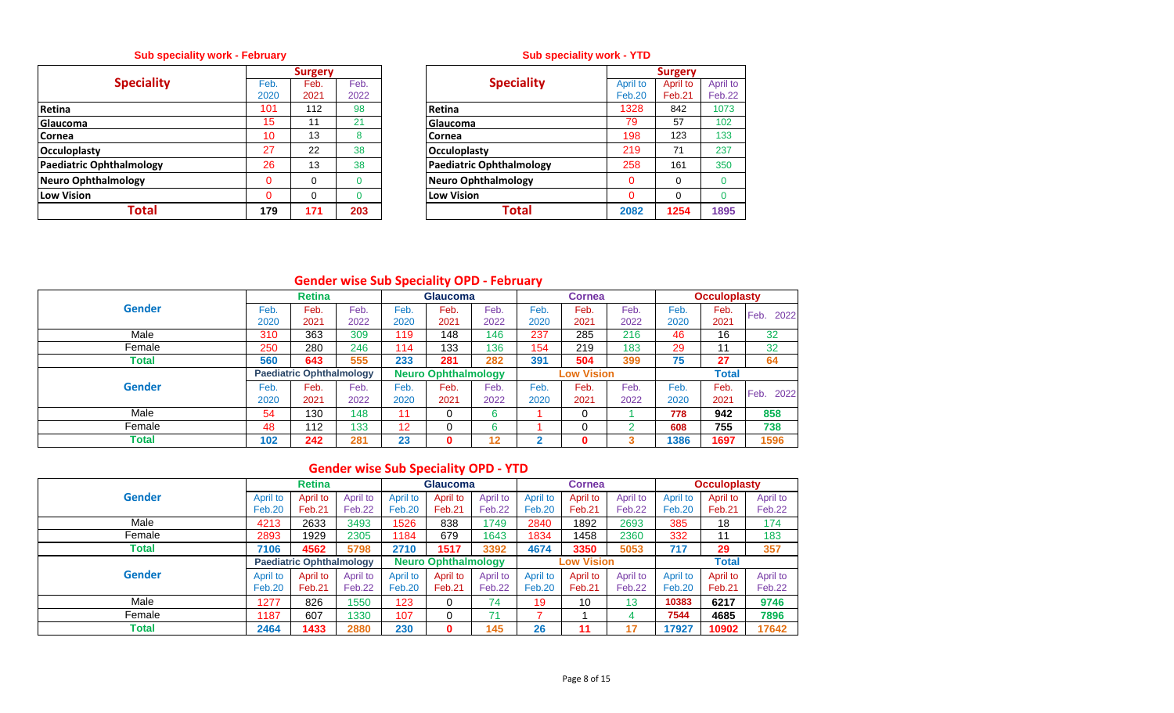## **Sub speciality work - February**

|                            |              | <b>Surgery</b> |              |                                 |  |
|----------------------------|--------------|----------------|--------------|---------------------------------|--|
| <b>Speciality</b>          | Feb.<br>2020 | Feb.<br>2021   | Feb.<br>2022 | <b>Speciality</b>               |  |
| Retina                     | 101          | 112            | 98           | <b>Retina</b>                   |  |
| <b>Glaucoma</b>            | 15           | 11             | 21           | Glaucoma                        |  |
| <b>Cornea</b>              | 10           | 13             | 8            | Cornea                          |  |
| <b>Occuloplasty</b>        | 27           | 22             | 38           | <b>Occuloplasty</b>             |  |
| Paediatric Ophthalmology   | 26           | 13             | 38           | <b>Paediatric Ophthalmology</b> |  |
| <b>Neuro Ophthalmology</b> | $\Omega$     | 0              |              | Neuro Ophthalmology             |  |
| Low Vision                 | $\Omega$     | $\Omega$       | ი            | <b>Low Vision</b>               |  |
| Total                      | 179          | 171            | 203          | Total                           |  |

## **Sub speciality work - YTD**

|          | <b>Surgery</b> |      |                                 |          | <b>Surgery</b> |          |
|----------|----------------|------|---------------------------------|----------|----------------|----------|
| Feb.     | Feb.           | Feb. | <b>Speciality</b>               | April to | April to       | April to |
| 2020     | 2021           | 2022 |                                 | Feb.20   | Feb.21         | Feb.22   |
| 101      | 112            | 98   | Retina                          | 1328     | 842            | 1073     |
| 15       | 11             | 21   | Glaucoma                        | 79       | 57             | 102      |
| 10       | 13             | 8    | Cornea                          | 198      | 123            | 133      |
| 27       | 22             | 38   | <b>Occuloplasty</b>             | 219      | 71             | 237      |
| 26       | 13             | 38   | <b>Paediatric Ophthalmology</b> | 258      | 161            | 350      |
| $\Omega$ | 0              | 0    | <b>Neuro Ophthalmology</b>      |          | $\Omega$       |          |
| $\Omega$ | 0              | 0    | <b>Low Vision</b>               |          | $\Omega$       | 0        |
| 179      | 171            | 203  | Total                           | 2082     | 1254           | 1895     |

# **Gender wise Sub Speciality OPD - February**

|               |      | <b>Retina</b>                   |      |      | <b>Glaucoma</b>            |      |      | <b>Cornea</b>     |      |      | <b>Occuloplasty</b> |              |
|---------------|------|---------------------------------|------|------|----------------------------|------|------|-------------------|------|------|---------------------|--------------|
| <b>Gender</b> | Feb. | Feb.                            | Feb. | Feb. | Feb.                       | Feb. | Feb. | Feb.              | Feb. | Feb. | Feb.                | Feb.<br>2022 |
|               | 2020 | 2021                            | 2022 | 2020 | 2021                       | 2022 | 2020 | 2021              | 2022 | 2020 | 2021                |              |
| Male          | 310  | 363                             | 309  | 119  | 148                        | 146  | 237  | 285               | 216  | 46   | 16                  | 32           |
| Female        | 250  | 280                             | 246  | 114  | 133                        | 136  | 154  | 219               | 183  | 29   | 11                  | 32           |
| Total         | 560  | 643                             | 555  | 233  | 281                        | 282  | 391  | 504               | 399  | 75   | 27                  | 64           |
|               |      | <b>Paediatric Ophthalmology</b> |      |      | <b>Neuro Ophthalmology</b> |      |      | <b>Low Vision</b> |      |      | <b>Total</b>        |              |
| <b>Gender</b> | Feb. | Feb.                            | Feb. | Feb. | Feb.                       | Feb. | Feb. | Feb.              | Feb. | Feb. | Feb.                | Feb.<br>2022 |
|               | 2020 | 2021                            | 2022 | 2020 | 2021                       | 2022 | 2020 | 2021              | 2022 | 2020 | 2021                |              |
| Male          | 54   | 130                             | 148  | 11   |                            | 6    |      |                   |      | 778  | 942                 | 858          |
| Female        | 48   | 112                             | 133  | 12   |                            | 6    |      |                   |      | 608  | 755                 | 738          |
| <b>Total</b>  | 102  | 242                             | 281  | 23   | 0                          | 12   | ◠    |                   | 3    | 1386 | 1697                | 1596         |

# **Gender wise Sub Speciality OPD - YTD**

|               |               | <b>Retina</b>                   |          |               | <b>Glaucoma</b>            |          |          | <b>Cornea</b>     |          |               | <b>Occuloplasty</b> |          |
|---------------|---------------|---------------------------------|----------|---------------|----------------------------|----------|----------|-------------------|----------|---------------|---------------------|----------|
| <b>Gender</b> | April to      | April to                        | April to | April to      | April to                   | April to | April to | April to          | April to | April to      | April to            | April to |
|               | <b>Feb.20</b> | Feb.21                          | Feb.22   | <b>Feb.20</b> | Feb.21                     | Feb.22   | Feb.20   | Feb.21            | Feb.22   | <b>Feb.20</b> | Feb.21              | Feb.22   |
| Male          | 4213          | 2633                            | 3493     | 1526          | 838                        | 1749     | 2840     | 1892              | 2693     | 385           | 18                  | 174      |
| Female        | 2893          | 1929                            | 2305     | 1184          | 679                        | 1643     | 1834     | 1458              | 2360     | 332           | 11                  | 183      |
| <b>Total</b>  | 7106          | 4562                            | 5798     | 2710          | 1517                       | 3392     | 4674     | 3350              | 5053     | 717           | 29                  | 357      |
|               |               | <b>Paediatric Ophthalmology</b> |          |               | <b>Neuro Ophthalmology</b> |          |          | <b>Low Vision</b> |          |               | <b>Total</b>        |          |
| <b>Gender</b> | April to      | April to                        | April to | April to      | April to                   | April to | April to | April to          | April to | April to      | April to            | April to |
|               | Feb.20        | Feb.21                          | Feb.22   | Feb.20        | Feb.21                     | Feb.22   | Feb.20   | Feb.21            | Feb.22   | <b>Feb.20</b> | Feb.21              | Feb.22   |
| Male          | 1277          | 826                             | 1550     | 123           | 0                          | 74       | 19       | 10                | 13       | 10383         | 6217                | 9746     |
| Female        | 1187          | 607                             | 1330     | 107           | 0                          |          |          |                   | 4        | 7544          | 4685                | 7896     |
| Total         | 2464          | 1433                            | 2880     | 230           | 0                          | 145      | 26       | 11                | 17       | 17927         | 10902               | 17642    |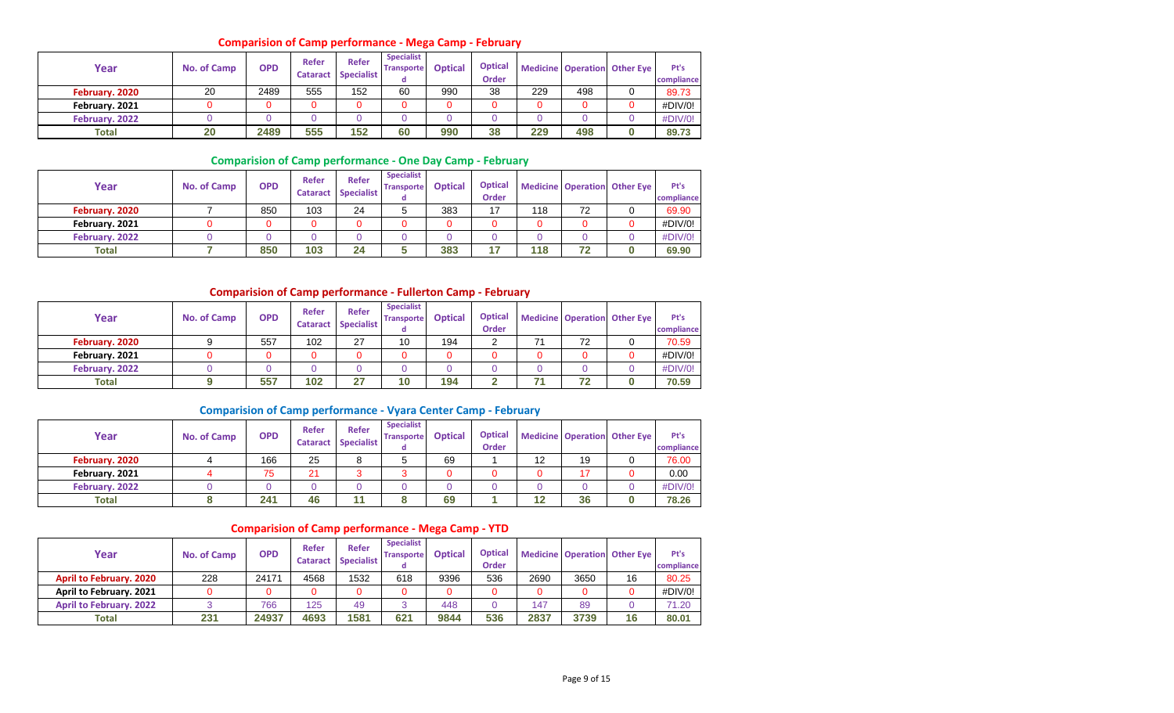#### **Comparision of Camp performance - Mega Camp - February**

| Year           | No. of Camp | <b>OPD</b> | Refer<br><b>Cataract</b> | <b>Refer</b><br>Specialist | <b>Specialist</b><br><b>Transporte</b> | <b>Optical</b> | <b>Optical</b><br><b>Order</b> |     |     | <b>Medicine Operation Other Eye</b> | Pt's<br>compliance |
|----------------|-------------|------------|--------------------------|----------------------------|----------------------------------------|----------------|--------------------------------|-----|-----|-------------------------------------|--------------------|
| February. 2020 | 20          | 2489       | 555                      | 152                        | 60                                     | 990            | 38                             | 229 | 498 |                                     | 89.73              |
| February. 2021 |             |            |                          | 0                          |                                        |                |                                |     |     |                                     | #DIV/0!            |
| February. 2022 |             |            |                          |                            |                                        |                |                                |     |     |                                     | #DIV/0!            |
| Total          | 20          | 2489       | 555                      | 152                        | 60                                     | 990            | 38                             | 229 | 498 |                                     | 89.73              |

#### **Comparision of Camp performance - One Day Camp - February**

| Year           | No. of Camp | <b>OPD</b> | Refer<br><b>Cataract</b> | <b>Refer</b><br><b>Specialist</b> | <b>Specialist</b><br><b>Transporte</b><br>α | <b>Optical</b> | <b>Optical</b><br><b>Order</b> |     |    | Medicine Operation Other Eye | Pt's<br>compliance |
|----------------|-------------|------------|--------------------------|-----------------------------------|---------------------------------------------|----------------|--------------------------------|-----|----|------------------------------|--------------------|
| February. 2020 |             | 850        | 103                      | 24                                |                                             | 383            | 17                             | 118 | 72 |                              | 69.90              |
| February. 2021 |             | 0          |                          |                                   |                                             |                |                                |     |    |                              | #DIV/0!            |
| February. 2022 |             |            |                          |                                   |                                             |                |                                |     |    |                              | #DIV/0!            |
| <b>Total</b>   |             | 850        | 103                      | 24                                |                                             | 383            | ر سا                           | 118 | 72 |                              | 69.90              |

#### **Comparision of Camp performance - Fullerton Camp - February**

| Year           | No. of Camp | <b>OPD</b> | Refer<br><b>Cataract</b> | Refer<br>Specialist | <b>Specialist</b><br><b>Transporte</b> | <b>Optical</b> | <b>Optical</b><br><b>Order</b> |    | <b>Medicine Operation Other Eye</b> | Pt's<br>compliance |
|----------------|-------------|------------|--------------------------|---------------------|----------------------------------------|----------------|--------------------------------|----|-------------------------------------|--------------------|
| February. 2020 |             | 557        | 102                      | 27                  | 10                                     | 194            |                                | 72 |                                     | 70.59              |
| February. 2021 |             |            |                          | 0                   |                                        |                |                                |    |                                     | #DIV/0!            |
| February. 2022 |             |            |                          | 0                   |                                        |                |                                |    |                                     | #DIV/0!            |
| Total          |             | 557        | 102                      | 27                  | 10                                     | 194            |                                | 72 |                                     | 70.59              |

#### **Comparision of Camp performance - Vyara Center Camp - February**

| Year           | <b>No. of Camp</b> | <b>OPD</b> | Refer<br><b>Cataract</b> | <b>Refer</b><br><b>Specialist</b> | <b>Specialist</b><br><b>Transporte</b><br>α | <b>Optical</b> | <b>Optical</b><br><b>Order</b> |    |    | <b>Medicine Operation Other Eye</b> | Pt's<br>compliance |
|----------------|--------------------|------------|--------------------------|-----------------------------------|---------------------------------------------|----------------|--------------------------------|----|----|-------------------------------------|--------------------|
| February. 2020 |                    | 166        | 25                       |                                   |                                             | 69             |                                | 12 | 19 |                                     | 76.00              |
| February. 2021 |                    | 75         | 21                       |                                   |                                             |                |                                |    |    |                                     | 0.00               |
| February. 2022 |                    |            |                          |                                   |                                             |                |                                |    |    |                                     | #DIV/0!            |
| Total          |                    | 241        | 46                       | 11                                |                                             | 69             |                                |    | 36 |                                     | 78.26              |

#### **Comparision of Camp performance - Mega Camp - YTD**

| Year                           | No. of Camp | <b>OPD</b> | Refer<br><b>Cataract</b> | <b>Refer</b><br><b>Specialist</b> | <b>Specialist</b><br><b>Transporte</b> | <b>Optical</b> | <b>Optical</b><br><b>Order</b> |      |      | <b>Medicine Operation Other Eye</b> | Pt's<br>compliance |
|--------------------------------|-------------|------------|--------------------------|-----------------------------------|----------------------------------------|----------------|--------------------------------|------|------|-------------------------------------|--------------------|
| <b>April to February. 2020</b> | 228         | 24171      | 4568                     | 1532                              | 618                                    | 9396           | 536                            | 2690 | 3650 | 16                                  | 80.25              |
| April to February. 2021        |             | 0          |                          |                                   |                                        |                |                                |      |      |                                     | #DIV/0!            |
| <b>April to February. 2022</b> |             | 766        | 125                      | 49                                |                                        | 448            |                                | 147  | 89   |                                     | 71.20              |
| <b>Total</b>                   | 231         | 24937      | 4693                     | 1581                              | 621                                    | 9844           | 536                            | 2837 | 3739 | 16                                  | 80.01              |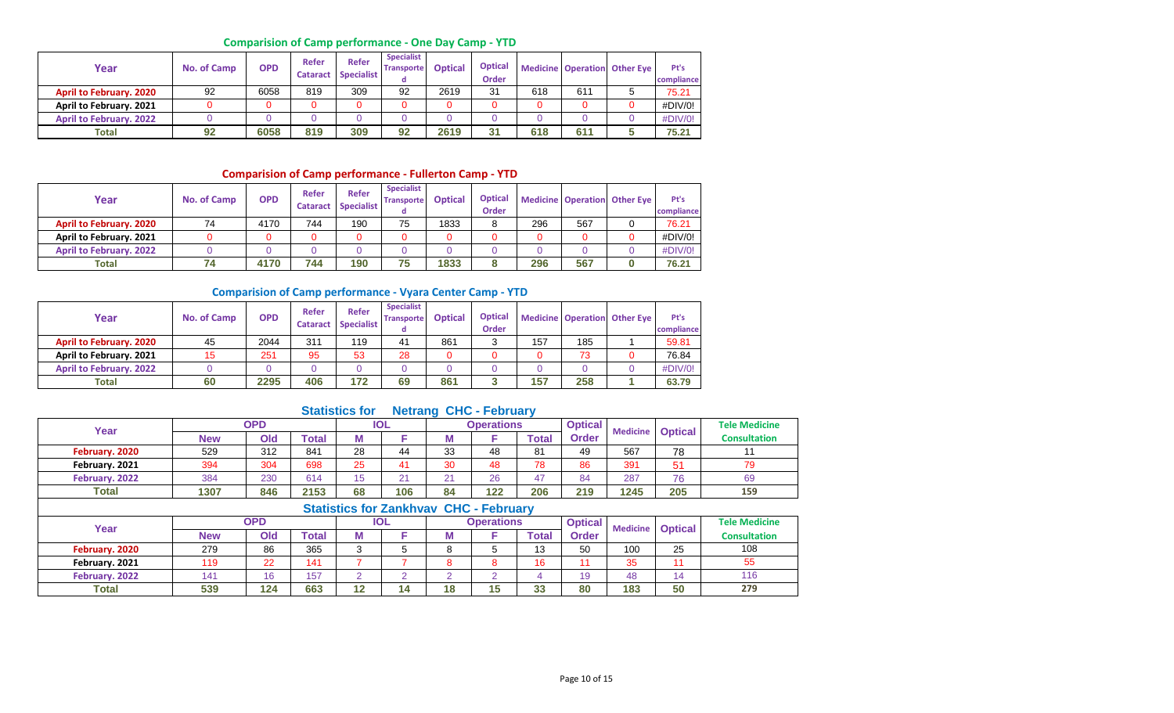## **Comparision of Camp performance - One Day Camp - YTD**

| Year                           | No. of Camp | <b>OPD</b> | Refer<br><b>Cataract</b> | Refer<br><b>Specialist</b> | <b>Specialist</b><br><b>Transporte</b> | <b>Optical</b> | <b>Optical</b><br>Order |     |     | <b>Medicine Operation Other Eye</b> | Pt's<br>compliance |
|--------------------------------|-------------|------------|--------------------------|----------------------------|----------------------------------------|----------------|-------------------------|-----|-----|-------------------------------------|--------------------|
| <b>April to February. 2020</b> | 92          | 6058       | 819                      | 309                        | 92                                     | 2619           | 31                      | 618 | 611 |                                     | 75.21              |
| April to February. 2021        |             |            |                          | 0                          |                                        |                |                         |     |     |                                     | #DIV/0!            |
| <b>April to February. 2022</b> |             |            |                          |                            |                                        |                |                         |     |     |                                     | #DIV/0!            |
| Total                          | 92          | 6058       | 819                      | 309                        | 92                                     | 2619           | 31                      | 618 | 611 |                                     | 75.21              |

## **Comparision of Camp performance - Fullerton Camp - YTD**

| Year                           | No. of Camp | <b>OPD</b> | Refer<br><b>Cataract</b> | <b>Refer</b><br><b>Specialist</b> | <b>Specialist</b><br><b>Transporte</b> | <b>Optical</b> | <b>Optical</b><br><b>Order</b> |     |     | <b>Medicine Operation Other Eye</b> | Pt's<br>compliance |
|--------------------------------|-------------|------------|--------------------------|-----------------------------------|----------------------------------------|----------------|--------------------------------|-----|-----|-------------------------------------|--------------------|
| <b>April to February. 2020</b> | 74          | 4170       | 744                      | 190                               | 75                                     | 1833           |                                | 296 | 567 |                                     | 76.21              |
| April to February. 2021        |             |            |                          | 0                                 |                                        |                |                                |     |     |                                     | #DIV/0!            |
| <b>April to February. 2022</b> |             |            |                          | 0                                 |                                        |                |                                |     |     |                                     | #DIV/0!            |
| Total                          | 74          | 4170       | 744                      | 190                               | 75                                     | 1833           |                                | 296 | 567 |                                     | 76.21              |

#### **Comparision of Camp performance - Vyara Center Camp - YTD**

| Year                           | No. of Camp | <b>OPD</b> | Refer<br><b>Cataract</b> | <b>Refer</b><br><b>Specialist</b> | <b>Specialist</b><br><b>Transporte</b><br>α | <b>Optical</b> | <b>Optical</b><br><b>Order</b> |     |     | <b>Medicine Operation Other Eye</b> | Pt's<br>compliance |
|--------------------------------|-------------|------------|--------------------------|-----------------------------------|---------------------------------------------|----------------|--------------------------------|-----|-----|-------------------------------------|--------------------|
| <b>April to February. 2020</b> | 45          | 2044       | 311                      | 119                               | 41                                          | 861            |                                | 157 | 185 |                                     | 59.81              |
| April to February. 2021        |             | 251        | 95                       | 53                                | 28                                          |                |                                |     | 73  |                                     | 76.84              |
| <b>April to February. 2022</b> |             |            | 0                        |                                   |                                             |                |                                |     |     |                                     | #DIV/0!            |
| Total                          | 60          | 2295       | 406                      | 172                               | 69                                          | 861            |                                | 157 | 258 |                                     | 63.79              |

## **Statistics for Netrang CHC - February**

| Year           |            | <b>OPD</b> |       |          | <b>IOL</b> |    | <b>Operations</b> |       | <b>Optical</b> | <b>Medicine</b> | <b>Optical</b> | <b>Tele Medicine</b> |  |  |
|----------------|------------|------------|-------|----------|------------|----|-------------------|-------|----------------|-----------------|----------------|----------------------|--|--|
|                | <b>New</b> | Old        | Total |          |            | w  |                   | Total | <b>Order</b>   |                 |                | <b>Consultation</b>  |  |  |
| February. 2020 | 529        | 312        | 841   | 28       | 44         | 33 | 48                | 81    | 49             | 567             | 78             |                      |  |  |
| February. 2021 | 394        | 304        | 698   | 25       | 41         | 30 | 48                | 78    | 86             | 391             | 51             | 79                   |  |  |
| February. 2022 | 384        | 230        | 614   | 1 F<br>◡ | 21         | 21 | 26                | 47    | 84             | 287             | 76             | 69                   |  |  |
| <b>Total</b>   | 1307       | 846        | 2153  | 68       | 106        | 84 | 122               | 206   | 219            | 1245            | 205            | 159                  |  |  |
|                |            |            |       |          |            |    |                   |       |                |                 |                |                      |  |  |

|                |            |            |       |    | <b>Statistics for Zankhyay CHC - February</b> |    |                   |              |                |     |                    |                      |
|----------------|------------|------------|-------|----|-----------------------------------------------|----|-------------------|--------------|----------------|-----|--------------------|----------------------|
| Year           |            | <b>OPD</b> |       |    | <b>IOL</b>                                    |    | <b>Operations</b> |              | <b>Optical</b> |     | Medicine   Optical | <b>Tele Medicine</b> |
|                | <b>New</b> | Old        | Total |    |                                               | M  |                   | <b>Total</b> | Order          |     |                    | <b>Consultation</b>  |
| February. 2020 | 279        | 86         | 365   |    |                                               | Ω  |                   | 13           | 50             | 100 | 25                 | 108                  |
| February. 2021 | 119        | 22         | 141   |    |                                               | 8  |                   | 16           |                | 35  |                    | 55                   |
| February. 2022 | 141        | 16         | 157   |    |                                               |    |                   |              | 19             | 48  | 14                 | 116                  |
| <b>Total</b>   | 539        | 124        | 663   | 12 | 14                                            | 18 |                   | 33           | 80             | 183 | 50                 | 279                  |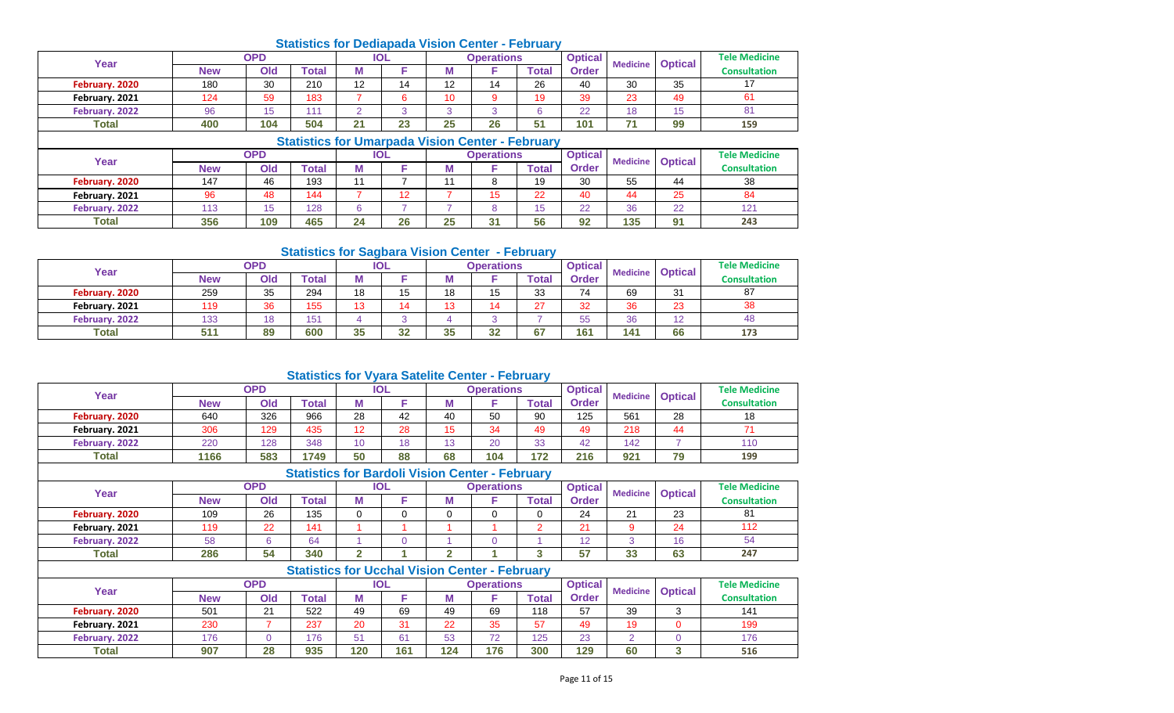## **Statistics for Dediapada Vision Center - February**

| Year           |            | <b>OPD</b> |              |                     | <b>IOL</b> |    | <b>Operations</b> |       | <b>Optical</b> | <b>Medicine</b> | <b>Optical</b> | <b>Tele Medicine</b> |
|----------------|------------|------------|--------------|---------------------|------------|----|-------------------|-------|----------------|-----------------|----------------|----------------------|
|                | <b>New</b> | Old        | <b>Total</b> | M                   |            | w  |                   | Гоtal | <b>Order</b>   |                 |                | <b>Consultation</b>  |
| February. 2020 | 180        | 30         | 210          | $\overline{1}$<br>L | 14         | 12 | 11                | 26    | 40             | 30              | 35             |                      |
| February. 2021 | 124        | 59         | 183          |                     |            | 10 |                   | 19    | 39             | 23              | 49             | וס                   |
| February. 2022 | 96         | ιэ         | 11           |                     |            | ົ  | $\sim$            |       | 22             | 18              | 4E             | 81                   |
| <b>Total</b>   | 400        | 104        | 504          | 21                  | 23         | 25 | 26                | æ     | 101            | 74              | 99             | 159                  |

|                |            |            | <b>Statistics for Umarpada Vision Center - February</b> |    |            |    |                   |       |                |     |                         |                      |
|----------------|------------|------------|---------------------------------------------------------|----|------------|----|-------------------|-------|----------------|-----|-------------------------|----------------------|
| Year           |            | <b>OPD</b> |                                                         |    | <b>IOL</b> |    | <b>Operations</b> |       | <b>Optical</b> |     | <b>Medicine Optical</b> | <b>Tele Medicine</b> |
|                | <b>New</b> | Old        | <b>Total</b>                                            |    |            | M  |                   | Total | Order          |     |                         | <b>Consultation</b>  |
| February. 2020 | 147        | 46         | 193                                                     |    |            |    |                   | 19    | 30             | 55  | 44                      | 38                   |
| February. 2021 | 96         | 48         | 144                                                     |    | 12         |    |                   | 22    | 40             | 44  | 25                      | 84                   |
| February, 2022 | 113        |            | 128                                                     |    |            |    |                   |       | 22             | 36  | 22                      | 121                  |
| <b>Total</b>   | 356        | 109        | 465                                                     | 24 | 26         | 25 | 31                | 56    | 92             | 135 | 91                      | 243                  |

#### **Statistics for Sagbara Vision Center - February**

| Year           |            | OPD |              |     | <b>IOL</b> |    | <b>Operations</b>   |       | <b>Optical</b> | <b>Medicine</b> |                | <b>Tele Medicine</b> |
|----------------|------------|-----|--------------|-----|------------|----|---------------------|-------|----------------|-----------------|----------------|----------------------|
|                | <b>New</b> | Old | <b>Total</b> | IVI |            | w  |                     | Total | Order          |                 | <b>Optical</b> | <b>Consultation</b>  |
| February. 2020 | 259        | 35  | 294          | 18  | 15         | 18 | 1 <sub>E</sub><br>◡ | 33    | 74             | 69              | 31             | 87                   |
| February. 2021 | 119        | 36  | 155          | 12  | 14         | 13 |                     | 27    | 32             | 36              | 23             | 38                   |
| February. 2022 | 133        | 18  | 151          |     |            |    |                     |       | 55             | 36              | $\sqrt{2}$     | 48                   |
| <b>Total</b>   | 511        | 89  | 600          | 35  | 32         | 35 | າາ<br>-34           | 67    | 161            | 141             | 66             | 173                  |

## **Statistics for Vyara Satelite Center - February**

| Year           |            | OPD |       |    | <b>IOL</b> |           | Operations |             | <b>Optical</b> | <b>Medicine</b> | <b>Optical</b> | <b>Tele Medicine</b> |
|----------------|------------|-----|-------|----|------------|-----------|------------|-------------|----------------|-----------------|----------------|----------------------|
|                | <b>New</b> | Old | Total | M  |            | M         |            | $\tau$ otal | Order          |                 |                | <b>Consultation</b>  |
| February. 2020 | 640        | 326 | 966   | 28 | 42         | 40        | 50         | 90          | 125            | 561             | 28             | 18                   |
| February. 2021 | 306        | 129 | 435   | 12 | 28         | 15<br>ں ا | 34         | 49          | 49             | 218             | 44             |                      |
| February. 2022 | 220        | 128 | 348   | 10 | 18         | 13        | 20         | 33          | 42             | 142             |                | 110                  |
| <b>Total</b>   | 1166       | 583 | 1749  | 50 | 88         | 68        | 104        | 172         | 216            | 921             | 79             | 199                  |

# **Statistics for Bardoli Vision Center - February**

| Year           |            | <b>OPD</b> |       |   | IOL |   | Operations |       | <b>Optical</b> | <b>Medicine</b> |                | <b>Tele Medicine</b> |
|----------------|------------|------------|-------|---|-----|---|------------|-------|----------------|-----------------|----------------|----------------------|
|                | <b>New</b> | Old        | Total | M |     | M |            | ™otal | Order          |                 | <b>Optical</b> | <b>Consultation</b>  |
| February. 2020 | 109        | 26         | 135   |   |     |   |            |       | 24             | $^{\circ}$      | 23             | 81                   |
| February. 2021 | 119        | 22         | 141   |   |     |   |            |       | $\mathbf{A}$   |                 | 24             | 112                  |
| February. 2022 | 58         |            | 64    |   |     |   |            |       |                |                 | 16             | 54                   |
| <b>Total</b>   | 286        | 54         | 340   |   |     |   |            |       | 57             | 33              | 63             | 247                  |

|                |            |            | <b>Statistics for Ucchal Vision Center - February</b> |     |     |     |                   |              |                |                 |                |                      |
|----------------|------------|------------|-------------------------------------------------------|-----|-----|-----|-------------------|--------------|----------------|-----------------|----------------|----------------------|
| Year           |            | OPD        |                                                       |     | IOL |     | <b>Operations</b> |              | <b>Optical</b> | <b>Medicine</b> | <b>Optical</b> | <b>Tele Medicine</b> |
|                | <b>New</b> | <b>Old</b> | Total                                                 | M   |     |     |                   | <b>Total</b> | <b>Order</b>   |                 |                | <b>Consultation</b>  |
| February. 2020 | 501        | 21         | 522                                                   | 49  | 69  | 49  | 69                | 118          | 57             | 39              | ت              | 141                  |
| February. 2021 | 230        |            | 237                                                   | 20  | 31  | 22  | 35                | 57           | 49             | 19              |                | 199                  |
| February. 2022 | 176        |            | 176                                                   | 51  | 61  | 53  | 72                | 125          | 23             |                 |                | 176                  |
| <b>Total</b>   | 907        | 28         | 935                                                   | 120 | 161 | 124 | 176               | 300          | 129            | 60              | ◠<br>o         | 516                  |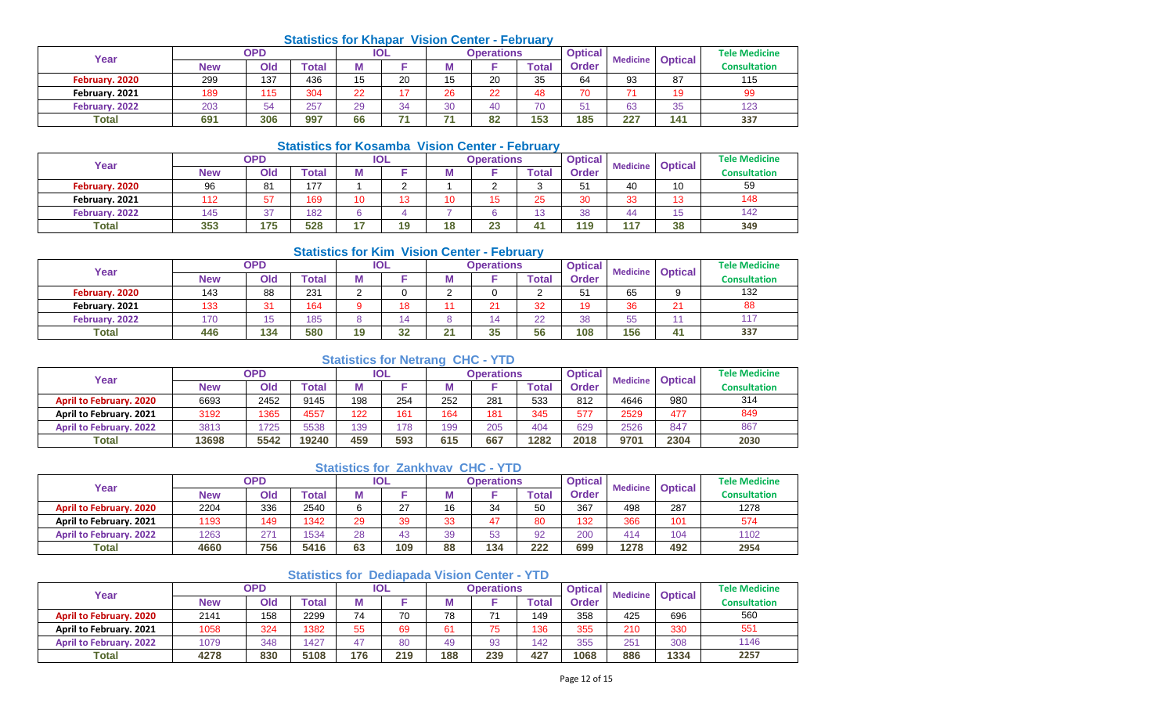## **Statistics for Khapar Vision Center - February**

| Year           |            | OPD |       |    | <b>IOL</b> |                     | <b>Operations</b> |              | <b>Optical</b> | <b>Medicine</b>          | <b>Optical</b> | <b>Tele Medicine</b> |
|----------------|------------|-----|-------|----|------------|---------------------|-------------------|--------------|----------------|--------------------------|----------------|----------------------|
|                | <b>New</b> | Old | `otal | w  |            |                     |                   | <b>Total</b> | <b>Order</b>   |                          |                | <b>Consultation</b>  |
| February. 2020 | 299        | 137 | 436   | 15 | 20         | 1 <sub>E</sub><br>N | 20                | 35           | 64             | 93                       | 87             | 115                  |
| February. 2021 | 189        | 115 | 304   | 22 | ᇧ          | 26                  | 22                | 48           | 70             | $\overline{\phantom{a}}$ | 19             | 99                   |
| February. 2022 | 203        | 54  | 257   | 29 | 34         | 30                  |                   | 70           | 51             | 63                       | 35             | 123                  |
| <b>Total</b>   | 691        | 306 | 997   | 66 | 74         | - 7                 | 82                | 153          | 185            | 227                      | 141            | 337                  |

# **Statistics for Kosamba Vision Center - February**

| Year           |            | <b>OPD</b>   |       | IOL      |    | <b>Operations</b> |              | <b>Optical</b> | <b>Medicine</b> |                | <b>Tele Medicine</b> |
|----------------|------------|--------------|-------|----------|----|-------------------|--------------|----------------|-----------------|----------------|----------------------|
|                | <b>New</b> | Old          | Total |          |    |                   | <b>Total</b> | <b>Order</b>   |                 | <b>Optical</b> | <b>Consultation</b>  |
| February. 2020 | 96         | 81           | 177   |          |    |                   |              | 51             | 40              | 10             | 59                   |
| February. 2021 |            | 57           | 169   | 12<br>טו | 10 | 15                | 25           | 30             | 33              | 13             | 148                  |
| February. 2022 | 145        | $\sim$<br>v. | 182   |          |    |                   | ט ו          | 38             | 44              | 15             | 142                  |
| <b>Total</b>   | 353        | 175          | 528   | 19       | 18 | $\sim$<br>23      |              | 119            | 117             | 38             | 349                  |

#### **Statistics for Kim Vision Center - February**

| Year           |            | <b>OPD</b>            |                           |    | IOL |                 | <b>Operations</b> |             | <b>Optical</b> | <b>Medicine</b> | <b>Optical</b>    | <b>Tele Medicine</b> |
|----------------|------------|-----------------------|---------------------------|----|-----|-----------------|-------------------|-------------|----------------|-----------------|-------------------|----------------------|
|                | <b>New</b> | Old                   | $\mathop{\mathsf{Total}}$ | М  |     | IМ              |                   | $\tau$ otal | <b>Order</b>   |                 |                   | <b>Consultation</b>  |
| February. 2020 | 143        | 88                    | 231                       |    |     |                 |                   |             | 51             | 65              |                   | 132                  |
| February. 2021 | 133        | 24<br>. ن             | 164                       |    | 18  |                 | 21                | 32          | 19             | 36              | $\mathbf{A}$<br>∠ | 88                   |
| February. 2022 | 170        | $\overline{K}$<br>ں ا | 185                       |    |     |                 |                   | 22          | 38             | 55              |                   | 117                  |
| <b>Total</b>   | 446        | 134                   | 580                       | 19 | 32  | $\overline{21}$ | 35                | 56          | 108            | 156             | 41                | 337                  |

## **Statistics for Netrang CHC - YTD**

| Year                           |            | OPD  |       |     | <b>IOL</b> |     | Operations |       | <b>Optical</b> | <b>Medicine</b> | <b>Optical</b> | <b>Tele Medicine</b> |
|--------------------------------|------------|------|-------|-----|------------|-----|------------|-------|----------------|-----------------|----------------|----------------------|
|                                | <b>New</b> | Old  | Total |     |            | w   |            | ™otal | <b>Order</b>   |                 |                | <b>Consultation</b>  |
| <b>April to February. 2020</b> | 6693       | 2452 | 9145  | 198 | 254        | 252 | 281        | 533   | 812            | 4646            | 980            | 314                  |
| <b>April to February, 2021</b> | 3192       | 1365 | 4557  | 122 | 161        | 164 | 181        | 345   | 577            | 2529            | 477            | 849                  |
| <b>April to February. 2022</b> | 3813       | 1725 | 5538  | 139 | 178        | 199 | 205        | 404   | 629            | 2526            | 847            | 867                  |
| <b>Total</b>                   | 13698      | 5542 | 19240 | 459 | 593        | 615 | 667        | 1282  | 2018           | 9701            | 2304           | 2030                 |

#### **Statistics for Zankhvav CHC - YTD**

| Year                           |            | <b>OPD</b> |       |    | IOL    |    | Operations     |              | <b>Optical</b> | <b>Medicine</b> | <b>Optical</b> | <b>Tele Medicine</b> |
|--------------------------------|------------|------------|-------|----|--------|----|----------------|--------------|----------------|-----------------|----------------|----------------------|
|                                | <b>New</b> | Old        | Total |    |        | M  |                | <b>Total</b> | Order          |                 |                | <b>Consultation</b>  |
| <b>April to February. 2020</b> | 2204       | 336        | 2540  |    | $\sim$ | 16 | 34             | 50           | 367            | 498             | 287            | 1278                 |
| April to February. 2021        | 1193       | 149        | 1342  | 29 | 39     | 33 | $\overline{ }$ | 80           | 132            | 366             | 101            | 574                  |
| <b>April to February. 2022</b> | 1263       | 271        | 1534  | 28 | 43     | 39 | 53<br>vu       | 92           | 200            | 414             | 104            | 1102                 |
| <b>Total</b>                   | 4660       | 756        | 5416  | 63 | 109    | 88 | 134            | 222          | 699            | 1278            | 492            | 2954                 |

## **Statistics for Dediapada Vision Center - YTD**

| Year                           |            | <b>OPD</b> |       |     | <b>IOL</b> |     | <b>Operations</b> |       | <b>Optical</b> | <b>Medicine</b> | <b>Optical</b> | <b>Tele Medicine</b> |
|--------------------------------|------------|------------|-------|-----|------------|-----|-------------------|-------|----------------|-----------------|----------------|----------------------|
|                                | <b>New</b> | Old        | ™otal |     |            | M   |                   | `otal | <b>Order</b>   |                 |                | <b>Consultation</b>  |
| <b>April to February. 2020</b> | 2141       | 158        | 2299  | 74  | 70         | 78  |                   | 149   | 358            | 425             | 696            | 560                  |
| April to February. 2021        | 1058       | 324        | 1382  | 55  | 69         | 61  | --                | 136   | 355            | 210             | 330            | 551                  |
| <b>April to February, 2022</b> | 1079       | 348        | 1427  | 47  | 80         | 49  | 93                | 142   | 355            | 251             | 308            | 1146                 |
| Total                          | 4278       | 830        | 5108  | 176 | 219        | 188 | 239               | 427   | 1068           | 886             | 1334           | 2257                 |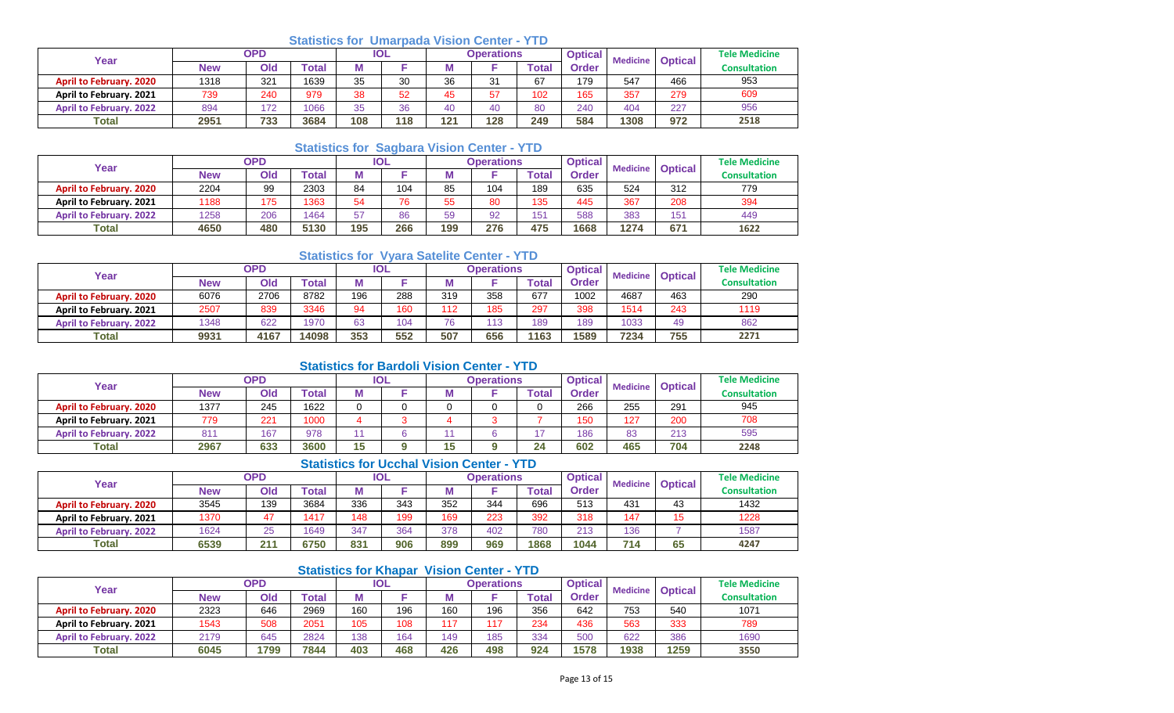## **Statistics for Umarpada Vision Center - YTD**

| Year                           |      | <b>OPD</b> |       |     | <b>IOL</b> |     | Operations |              | <b>Optical</b> |      | <b>Medicine Optical</b> | <b>Tele Medicine</b> |
|--------------------------------|------|------------|-------|-----|------------|-----|------------|--------------|----------------|------|-------------------------|----------------------|
|                                | New  | Old        | Гоtal | М   |            | ΙVΙ |            | <b>Total</b> | Order          |      |                         | <b>Consultation</b>  |
| <b>April to February. 2020</b> | 1318 | 321        | 1639  | 35  | 30         | 36  | 31         | 67           | 179            | 547  | 466                     | 953                  |
| April to February. 2021        | 739  | 240        | 979   | 38  | 52         | 45  | 57         | 102          | 165            | 357  | 279                     | 609                  |
| <b>April to February. 2022</b> | 894  | 172        | 1066  | 35  | 36         | 40  | 40         | 80           | 240            | 404  | 227                     | 956                  |
| Total                          | 2951 | 733        | 3684  | 108 | 118        | 121 | 128        | 249          | 584            | 1308 | 972                     | 2518                 |

## **Statistics for Sagbara Vision Center - YTD**

| Year                           |            | <b>OPD</b> |       |     | <b>IOL</b> |     | Operations |             | <b>Optical</b> | <b>Medicine</b> | <b>Optical</b> | <b>Tele Medicine</b> |
|--------------------------------|------------|------------|-------|-----|------------|-----|------------|-------------|----------------|-----------------|----------------|----------------------|
|                                | <b>New</b> | Old        | Total |     |            | M   |            | $\tau$ otal | Order          |                 |                | <b>Consultation</b>  |
| <b>April to February. 2020</b> | 2204       | 99         | 2303  | 84  | 104        | 85  | 104        | 189         | 635            | 524             | 312            | 779                  |
| April to February. 2021        | 1188       | 175        | 1363  | 54  | 76         | 55  | 80         | 135         | 445            | 367             | 208            | 394                  |
| <b>April to February. 2022</b> | 1258       | 206        | 1464  | 57  | 86         | 59  | 92         | 151         | 588            | 383             | 151            | 449                  |
| <b>Total</b>                   | 4650       | 480        | 5130  | 195 | 266        | 199 | 276        | 475         | 1668           | 1274            | 671            | 1622                 |

## **Statistics for Vyara Satelite Center - YTD**

| Year                           |      | <b>OPD</b> |       |     | <b>IOL</b> |     | <b>Operations</b> |       | <b>Optical</b> | <b>Medicine</b> | <b>Optical</b> | <b>Tele Medicine</b> |
|--------------------------------|------|------------|-------|-----|------------|-----|-------------------|-------|----------------|-----------------|----------------|----------------------|
|                                | New  | Old        | `otal |     |            |     |                   | Total | Order          |                 |                | <b>Consultation</b>  |
| <b>April to February, 2020</b> | 6076 | 2706       | 8782  | 196 | 288        | 319 | 358               | 677   | 1002           | 4687            | 463            | 290                  |
| <b>April to February, 2021</b> | 2507 | 839        | 3346  | 94  | 160        | 112 | 185               | 297   | 398            | 1514            | 243            | 1119                 |
| <b>April to February, 2022</b> | 1348 | 622        | 1970  | 63  | 104        | 76  | 113               | 189   | 189            | 1033            | 49             | 862                  |
| <b>Total</b>                   | 9931 | 4167       | 14098 | 353 | 552        | 507 | 656               | 1163  | 1589           | 7234            | 755            | 2271                 |

## **Statistics for Bardoli Vision Center - YTD**

| Year                           |      | <b>OPD</b> |       | IOL |     | Operations |                      | <b>Optical</b> | <b>Medicine</b> | <b>Optical</b> | <b>Tele Medicine</b> |
|--------------------------------|------|------------|-------|-----|-----|------------|----------------------|----------------|-----------------|----------------|----------------------|
|                                | New  | Old        | Гоtal | М   | IVI |            | <b>Total</b>         | <b>Order</b>   |                 |                | <b>Consultation</b>  |
| <b>April to February. 2020</b> | 1377 | 245        | 1622  |     |     |            |                      | 266            | 255             | 291            | 945                  |
| April to February. 2021        | 779  | 221        | 1000  |     |     |            |                      | 150            | 127             | 200            | 708                  |
| <b>April to February. 2022</b> | 81'  | 167        | 978   |     |     |            |                      | 186            | 83              | 213            | 595                  |
| <b>Total</b>                   | 2967 | 633        | 3600  | 15  | 15  |            | 2 <sub>A</sub><br>45 | 602            | 465             | 704            | 2248                 |

# **Statistics for Ucchal Vision Center - YTD**

| Year                           |      | <b>OPD</b> |       |     | IOL |     | <b>Operations</b> |       | <b>Optical</b> | <b>Medicine</b> | <b>Optical</b> | <b>Tele Medicine</b> |
|--------------------------------|------|------------|-------|-----|-----|-----|-------------------|-------|----------------|-----------------|----------------|----------------------|
|                                | New  | Old        | Total | M   |     | w   |                   | ™ota⊧ | <b>Order</b>   |                 |                | <b>Consultation</b>  |
| <b>April to February. 2020</b> | 3545 | 139        | 3684  | 336 | 343 | 352 | 344               | 696   | 513            | 431             | 43             | 1432                 |
| April to February. 2021        | 1370 | 47         | 1417  | 148 | 199 | 169 | 223               | 392   | 318            | 147             | <b>4 F</b>     | 1228                 |
| <b>April to February, 2022</b> | 1624 | 25         | 1649  | 347 | 364 | 378 | 402               | 780   | 213            | 136             |                | 1587                 |
| <b>Total</b>                   | 6539 | 211        | 6750  | 831 | 906 | 899 | 969               | 1868  | 1044           | 714             | 65             | 4247                 |

## **Statistics for Khapar Vision Center - YTD**

| Year                           |            | <b>OPD</b> |       |     | <b>IOL</b> |     | <b>Operations</b> |       | <b>Optical</b> | <b>Optical</b><br><b>Medicine</b> |      | <b>Tele Medicine</b> |
|--------------------------------|------------|------------|-------|-----|------------|-----|-------------------|-------|----------------|-----------------------------------|------|----------------------|
|                                | <b>New</b> | Old        | Гоtal |     |            | M   |                   | Total | <b>Order</b>   |                                   |      | <b>Consultation</b>  |
| <b>April to February. 2020</b> | 2323       | 646        | 2969  | 160 | 196        | 160 | 196               | 356   | 642            | 753                               | 540  | 1071                 |
| April to February. 2021        | 1543       | 508        | 2051  | 105 | 108        | 117 |                   | 234   | 436            | 563                               | 333  | 789                  |
| <b>April to February, 2022</b> | 2179       | 645        | 2824  | 138 | 164        | 149 | 185               | 334   | 500            | 622                               | 386  | 1690                 |
| Total                          | 6045       | 1799       | 7844  | 403 | 468        | 426 | 498               | 924   | 1578           | 1938                              | 1259 | 3550                 |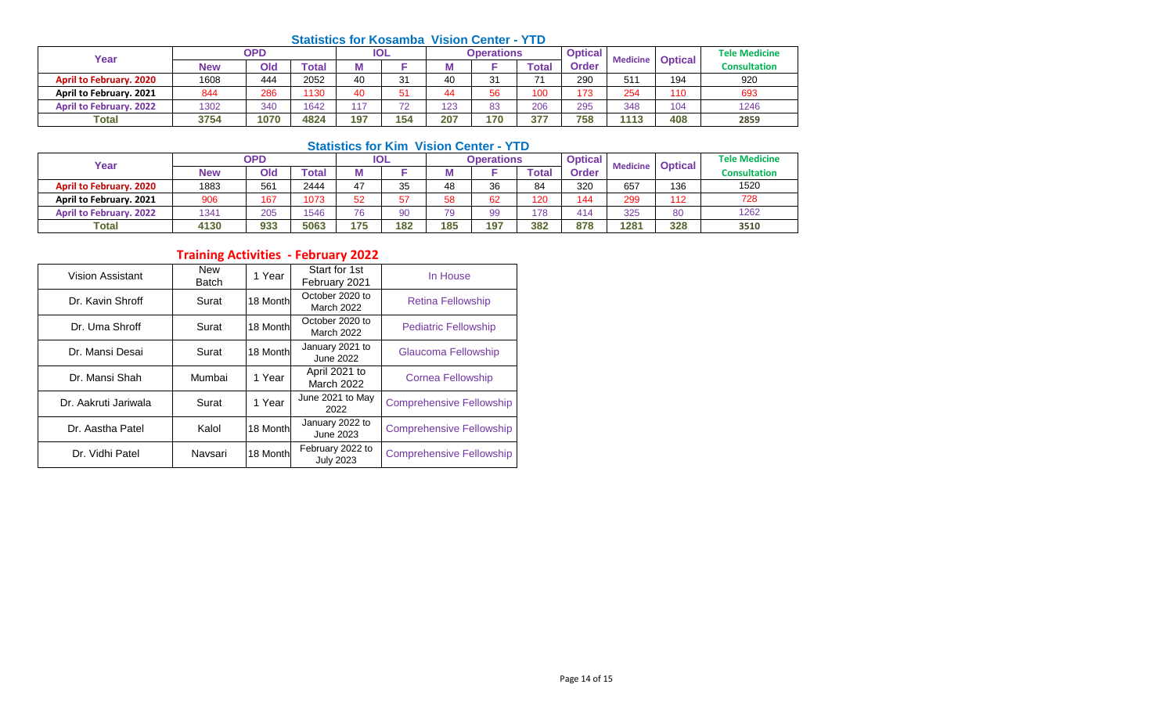# **Statistics for Kosamba Vision Center - YTD**

| Year                           |      | <b>OPD</b> |       |     | <b>IOL</b> |     | <b>Operations</b> |              | <b>Optical</b> | <b>Medicine</b> | <b>Optical</b> | <b>Tele Medicine</b> |
|--------------------------------|------|------------|-------|-----|------------|-----|-------------------|--------------|----------------|-----------------|----------------|----------------------|
|                                | New  | Old        | 'otal |     |            |     |                   | <b>Total</b> | <b>Order</b>   |                 |                | <b>Consultation</b>  |
| <b>April to February. 2020</b> | 1608 | 444        | 2052  | 40  | 31         | 40  | 31                | 74           | 290            | 511             | 194            | 920                  |
| April to February. 2021        | 844  | 286        | 1130  | 40  | 51         | 44  | 56                | 100          | 173            | 254             | 110            | 693                  |
| <b>April to February. 2022</b> | 1302 | 340        | 1642  | 147 | 72         | 123 | 83                | 206          | 295            | 348             | 104            | 1246                 |
| <b>Total</b>                   | 3754 | 1070       | 4824  | 197 | 154        | 207 | 170               | 377          | 758            | 1113            | 408            | 2859                 |

## **Statistics for Kim Vision Center - YTD**

| Year                           |            | <b>OPD</b> |       |     | <b>IOL</b> |     | <b>Operations</b> |       | <b>Optical</b> | <b>Medicine</b> | <b>Optical</b> | <b>Tele Medicine</b> |
|--------------------------------|------------|------------|-------|-----|------------|-----|-------------------|-------|----------------|-----------------|----------------|----------------------|
|                                | <b>New</b> | Old        | Total |     |            | IVI |                   | ™otal | Order          |                 |                | <b>Consultation</b>  |
| <b>April to February. 2020</b> | 1883       | 561        | 2444  | 47  | 35         | 48  | 36                | 84    | 320            | 657             | 136            | 1520                 |
| April to February. 2021        | 906        | 167        | 1073  | 52  | 57         | 58  | 62                | 120   | 144            | 299             | 112            | 728                  |
| <b>April to February. 2022</b> | 1341       | 205        | 1546  | 76  | 90         | 79  | 99                | 178   | 414            | 325             | 80             | 1262                 |
| <b>Total</b>                   | 4130       | 933        | 5063  | 175 | 182        | 185 | 197               | 382   | 878            | 1281            | 328            | 3510                 |

# **Training Activities - February 2022**

| Vision Assistant     | <b>New</b><br><b>Batch</b> | 1 Year   | Start for 1st<br>February 2021       | In House                        |
|----------------------|----------------------------|----------|--------------------------------------|---------------------------------|
| Dr. Kavin Shroff     | Surat                      | 18 Month | October 2020 to<br><b>March 2022</b> | <b>Retina Fellowship</b>        |
| Dr. Uma Shroff       | Surat                      | 18 Month | October 2020 to<br>March 2022        | <b>Pediatric Fellowship</b>     |
| Dr. Mansi Desai      | Surat                      | 18 Month | January 2021 to<br>June 2022         | Glaucoma Fellowship             |
| Dr. Mansi Shah       | Mumbai                     | 1 Year   | April 2021 to<br><b>March 2022</b>   | <b>Cornea Fellowship</b>        |
| Dr. Aakruti Jariwala | Surat                      | 1 Year   | June 2021 to May<br>2022             | <b>Comprehensive Fellowship</b> |
| Dr. Aastha Patel     | Kalol                      | 18 Month | January 2022 to<br>June 2023         | <b>Comprehensive Fellowship</b> |
| Dr. Vidhi Patel      | Navsari                    | 18 Month | February 2022 to<br><b>July 2023</b> | <b>Comprehensive Fellowship</b> |